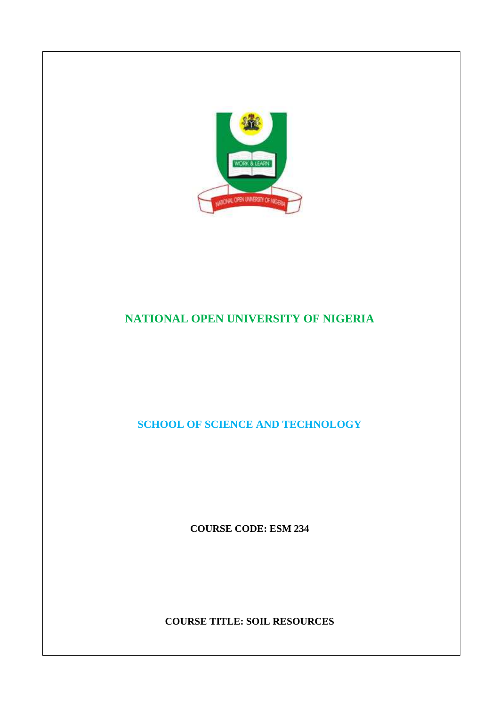

# **NATIONAL OPEN UNIVERSITY OF NIGERIA**

**SCHOOL OF SCIENCE AND TECHNOLOGY** 

**COURSE CODE: ESM 234** 

**COURSE TITLE: SOIL RESOURCES**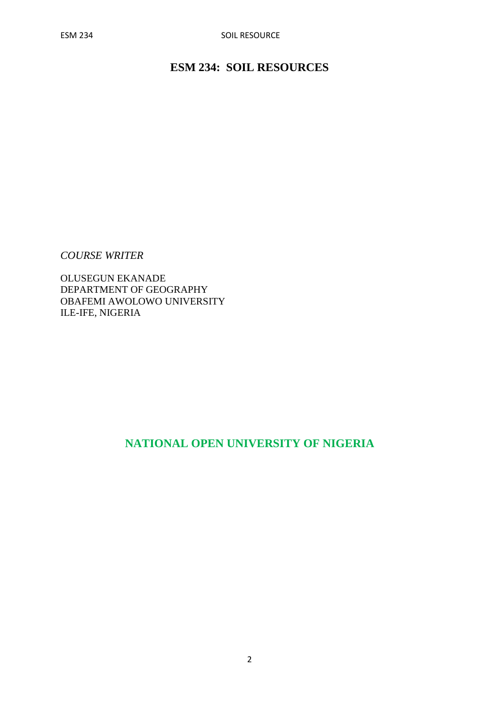# **ESM 234: SOIL RESOURCES**

*COURSE WRITER* 

OLUSEGUN EKANADE DEPARTMENT OF GEOGRAPHY OBAFEMI AWOLOWO UNIVERSITY ILE-IFE, NIGERIA

# **NATIONAL OPEN UNIVERSITY OF NIGERIA**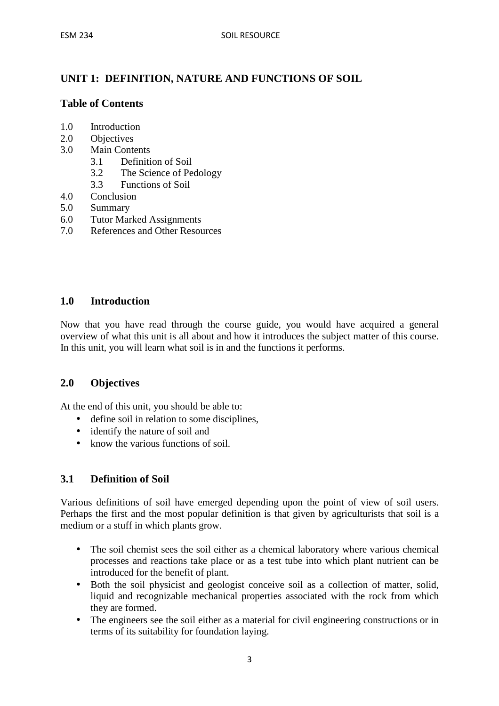# **UNIT 1: DEFINITION, NATURE AND FUNCTIONS OF SOIL**

# **Table of Contents**

- 1.0 Introduction
- 2.0 Objectives
- 3.0 Main Contents
	- 3.1 Definition of Soil
	- 3.2 The Science of Pedology
	- 3.3 Functions of Soil
- 4.0 Conclusion
- 5.0 Summary
- 6.0 Tutor Marked Assignments
- 7.0 References and Other Resources

### **1.0 Introduction**

Now that you have read through the course guide, you would have acquired a general overview of what this unit is all about and how it introduces the subject matter of this course. In this unit, you will learn what soil is in and the functions it performs.

### **2.0 Objectives**

At the end of this unit, you should be able to:

- define soil in relation to some disciplines,
- identify the nature of soil and
- know the various functions of soil.

# **3.1 Definition of Soil**

Various definitions of soil have emerged depending upon the point of view of soil users. Perhaps the first and the most popular definition is that given by agriculturists that soil is a medium or a stuff in which plants grow.

- The soil chemist sees the soil either as a chemical laboratory where various chemical processes and reactions take place or as a test tube into which plant nutrient can be introduced for the benefit of plant.
- Both the soil physicist and geologist conceive soil as a collection of matter, solid, liquid and recognizable mechanical properties associated with the rock from which they are formed.
- The engineers see the soil either as a material for civil engineering constructions or in terms of its suitability for foundation laying.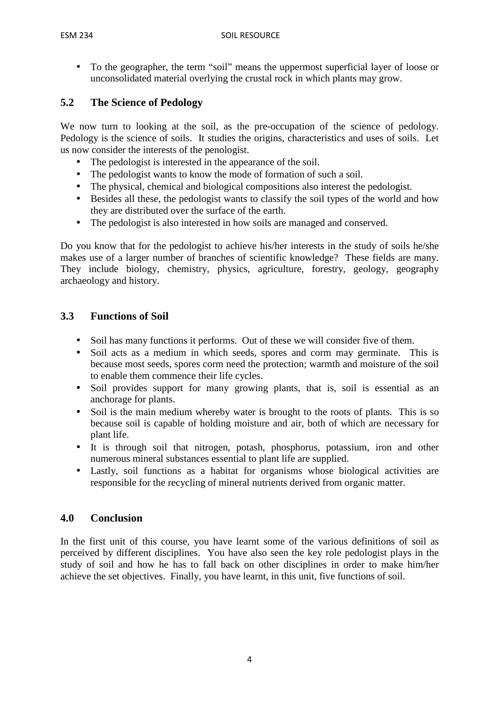• To the geographer, the term "soil" means the uppermost superficial layer of loose or unconsolidated material overlying the crustal rock in which plants may grow.

# **5.2 The Science of Pedology**

We now turn to looking at the soil, as the pre-occupation of the science of pedology. Pedology is the science of soils. It studies the origins, characteristics and uses of soils. Let us now consider the interests of the penologist.

- The pedologist is interested in the appearance of the soil.
- The pedologist wants to know the mode of formation of such a soil.
- The physical, chemical and biological compositions also interest the pedologist.
- Besides all these, the pedologist wants to classify the soil types of the world and how they are distributed over the surface of the earth.
- The pedologist is also interested in how soils are managed and conserved.

Do you know that for the pedologist to achieve his/her interests in the study of soils he/she makes use of a larger number of branches of scientific knowledge? These fields are many. They include biology, chemistry, physics, agriculture, forestry, geology, geography archaeology and history.

### **3.3 Functions of Soil**

- Soil has many functions it performs. Out of these we will consider five of them.
- Soil acts as a medium in which seeds, spores and corm may germinate. This is because most seeds, spores corm need the protection; warmth and moisture of the soil to enable them commence their life cycles.
- Soil provides support for many growing plants, that is, soil is essential as an anchorage for plants.
- Soil is the main medium whereby water is brought to the roots of plants. This is so because soil is capable of holding moisture and air, both of which are necessary for plant life.
- It is through soil that nitrogen, potash, phosphorus, potassium, iron and other numerous mineral substances essential to plant life are supplied.
- Lastly, soil functions as a habitat for organisms whose biological activities are responsible for the recycling of mineral nutrients derived from organic matter.

# **4.0 Conclusion**

In the first unit of this course, you have learnt some of the various definitions of soil as perceived by different disciplines. You have also seen the key role pedologist plays in the study of soil and how he has to fall back on other disciplines in order to make him/her achieve the set objectives. Finally, you have learnt, in this unit, five functions of soil.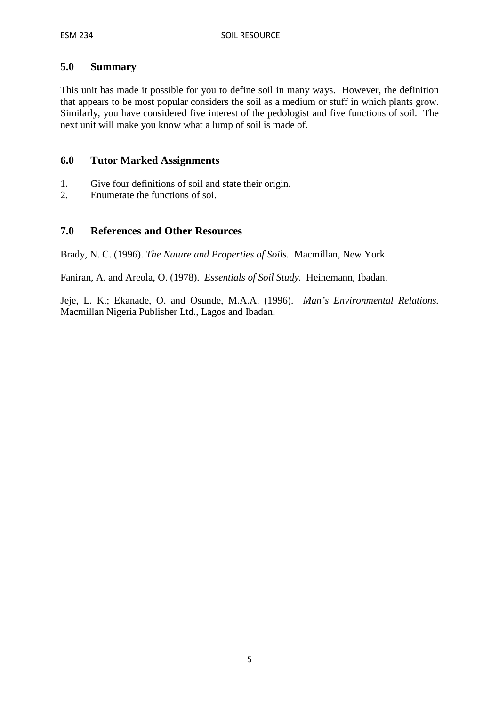#### **5.0 Summary**

This unit has made it possible for you to define soil in many ways. However, the definition that appears to be most popular considers the soil as a medium or stuff in which plants grow. Similarly, you have considered five interest of the pedologist and five functions of soil. The next unit will make you know what a lump of soil is made of.

#### **6.0 Tutor Marked Assignments**

- 1. Give four definitions of soil and state their origin.
- 2. Enumerate the functions of soi.

#### **7.0 References and Other Resources**

Brady, N. C. (1996). *The Nature and Properties of Soils.* Macmillan, New York.

Faniran, A. and Areola, O. (1978). *Essentials of Soil Study.* Heinemann, Ibadan.

Jeje, L. K.; Ekanade, O. and Osunde, M.A.A. (1996). *Man's Environmental Relations.*  Macmillan Nigeria Publisher Ltd., Lagos and Ibadan.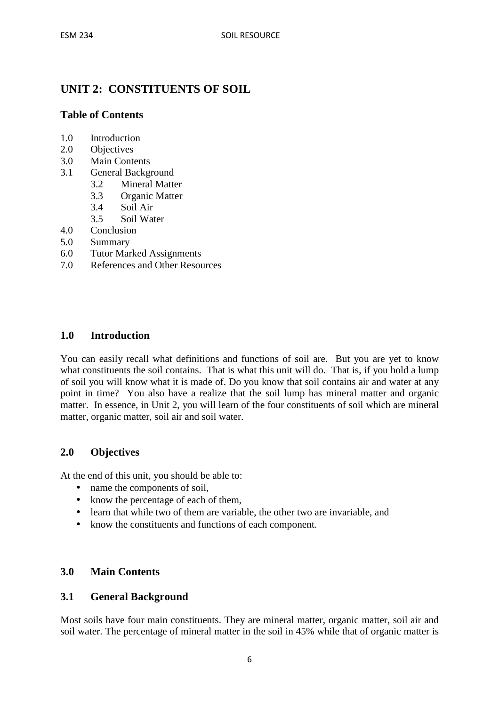# **UNIT 2: CONSTITUENTS OF SOIL**

### **Table of Contents**

- 1.0 Introduction
- 2.0 Objectives
- 3.0 Main Contents
- 3.1 General Background
	- 3.2 Mineral Matter
	- 3.3 Organic Matter
	- 3.4 Soil Air
	- 3.5 Soil Water
- 4.0 Conclusion
- 5.0 Summary
- 6.0 Tutor Marked Assignments
- 7.0 References and Other Resources

#### **1.0 Introduction**

You can easily recall what definitions and functions of soil are. But you are yet to know what constituents the soil contains. That is what this unit will do. That is, if you hold a lump of soil you will know what it is made of. Do you know that soil contains air and water at any point in time? You also have a realize that the soil lump has mineral matter and organic matter. In essence, in Unit 2, you will learn of the four constituents of soil which are mineral matter, organic matter, soil air and soil water.

#### **2.0 Objectives**

At the end of this unit, you should be able to:

- name the components of soil,
- know the percentage of each of them,
- learn that while two of them are variable, the other two are invariable, and
- know the constituents and functions of each component.

#### **3.0 Main Contents**

#### **3.1 General Background**

Most soils have four main constituents. They are mineral matter, organic matter, soil air and soil water. The percentage of mineral matter in the soil in 45% while that of organic matter is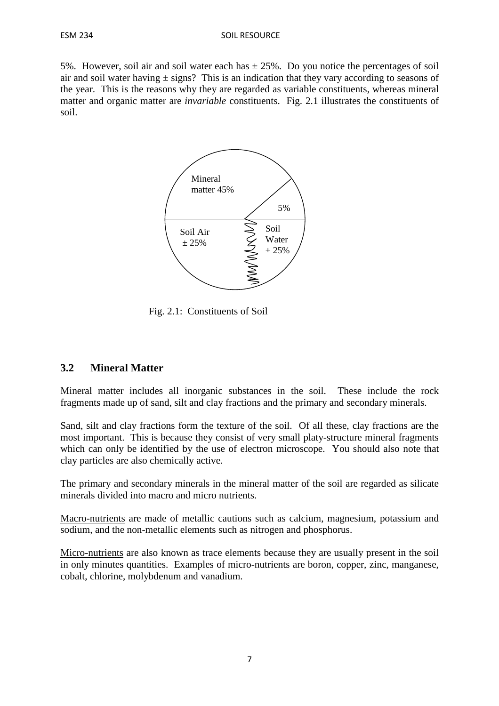5%. However, soil air and soil water each has  $\pm 25$ %. Do you notice the percentages of soil air and soil water having  $\pm$  signs? This is an indication that they vary according to seasons of the year. This is the reasons why they are regarded as variable constituents, whereas mineral matter and organic matter are *invariable* constituents. Fig. 2.1 illustrates the constituents of soil.



Fig. 2.1: Constituents of Soil

#### **3.2 Mineral Matter**

Mineral matter includes all inorganic substances in the soil. These include the rock fragments made up of sand, silt and clay fractions and the primary and secondary minerals.

Sand, silt and clay fractions form the texture of the soil. Of all these, clay fractions are the most important. This is because they consist of very small platy-structure mineral fragments which can only be identified by the use of electron microscope. You should also note that clay particles are also chemically active.

The primary and secondary minerals in the mineral matter of the soil are regarded as silicate minerals divided into macro and micro nutrients.

Macro-nutrients are made of metallic cautions such as calcium, magnesium, potassium and sodium, and the non-metallic elements such as nitrogen and phosphorus.

Micro-nutrients are also known as trace elements because they are usually present in the soil in only minutes quantities. Examples of micro-nutrients are boron, copper, zinc, manganese, cobalt, chlorine, molybdenum and vanadium.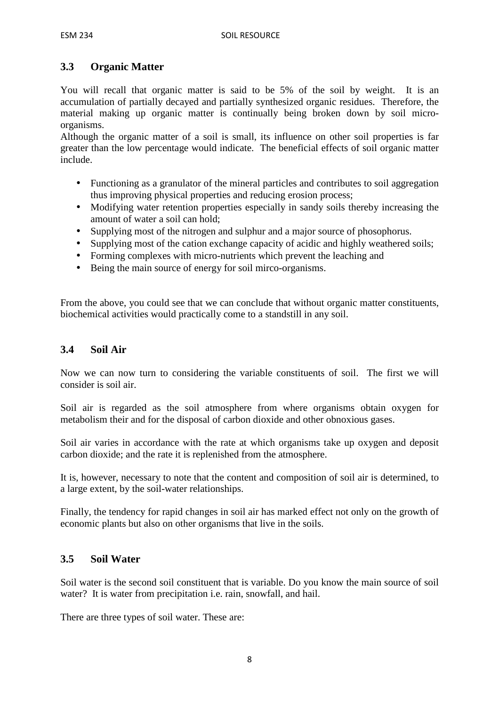# **3.3 Organic Matter**

You will recall that organic matter is said to be 5% of the soil by weight. It is an accumulation of partially decayed and partially synthesized organic residues. Therefore, the material making up organic matter is continually being broken down by soil microorganisms.

Although the organic matter of a soil is small, its influence on other soil properties is far greater than the low percentage would indicate. The beneficial effects of soil organic matter include.

- Functioning as a granulator of the mineral particles and contributes to soil aggregation thus improving physical properties and reducing erosion process;
- Modifying water retention properties especially in sandy soils thereby increasing the amount of water a soil can hold;
- Supplying most of the nitrogen and sulphur and a major source of phosophorus.
- Supplying most of the cation exchange capacity of acidic and highly weathered soils;
- Forming complexes with micro-nutrients which prevent the leaching and
- Being the main source of energy for soil mirco-organisms.

From the above, you could see that we can conclude that without organic matter constituents, biochemical activities would practically come to a standstill in any soil.

# **3.4 Soil Air**

Now we can now turn to considering the variable constituents of soil. The first we will consider is soil air.

Soil air is regarded as the soil atmosphere from where organisms obtain oxygen for metabolism their and for the disposal of carbon dioxide and other obnoxious gases.

Soil air varies in accordance with the rate at which organisms take up oxygen and deposit carbon dioxide; and the rate it is replenished from the atmosphere.

It is, however, necessary to note that the content and composition of soil air is determined, to a large extent, by the soil-water relationships.

Finally, the tendency for rapid changes in soil air has marked effect not only on the growth of economic plants but also on other organisms that live in the soils.

# **3.5 Soil Water**

Soil water is the second soil constituent that is variable. Do you know the main source of soil water? It is water from precipitation i.e. rain, snowfall, and hail.

There are three types of soil water. These are: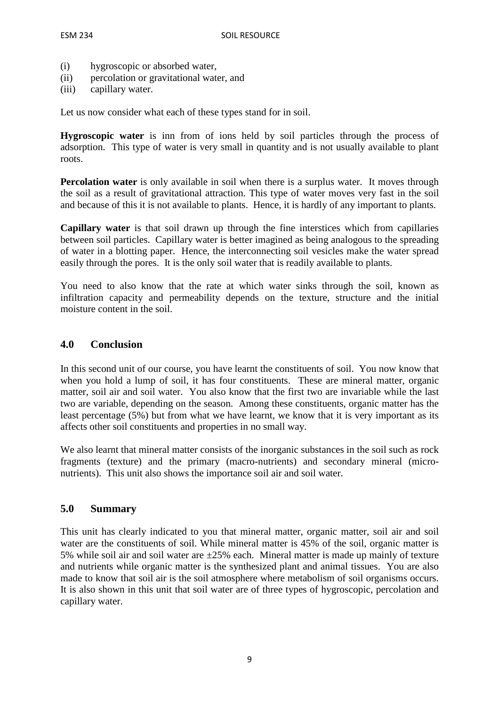- (i) hygroscopic or absorbed water,
- (ii) percolation or gravitational water, and
- (iii) capillary water.

Let us now consider what each of these types stand for in soil.

**Hygroscopic water** is inn from of ions held by soil particles through the process of adsorption. This type of water is very small in quantity and is not usually available to plant roots.

**Percolation water** is only available in soil when there is a surplus water. It moves through the soil as a result of gravitational attraction. This type of water moves very fast in the soil and because of this it is not available to plants. Hence, it is hardly of any important to plants.

**Capillary water** is that soil drawn up through the fine interstices which from capillaries between soil particles. Capillary water is better imagined as being analogous to the spreading of water in a blotting paper. Hence, the interconnecting soil vesicles make the water spread easily through the pores. It is the only soil water that is readily available to plants.

You need to also know that the rate at which water sinks through the soil, known as infiltration capacity and permeability depends on the texture, structure and the initial moisture content in the soil.

#### **4.0 Conclusion**

In this second unit of our course, you have learnt the constituents of soil. You now know that when you hold a lump of soil, it has four constituents. These are mineral matter, organic matter, soil air and soil water. You also know that the first two are invariable while the last two are variable, depending on the season. Among these constituents, organic matter has the least percentage (5%) but from what we have learnt, we know that it is very important as its affects other soil constituents and properties in no small way.

We also learnt that mineral matter consists of the inorganic substances in the soil such as rock fragments (texture) and the primary (macro-nutrients) and secondary mineral (micronutrients). This unit also shows the importance soil air and soil water.

#### **5.0 Summary**

This unit has clearly indicated to you that mineral matter, organic matter, soil air and soil water are the constituents of soil. While mineral matter is 45% of the soil, organic matter is 5% while soil air and soil water are  $\pm 25$ % each. Mineral matter is made up mainly of texture and nutrients while organic matter is the synthesized plant and animal tissues. You are also made to know that soil air is the soil atmosphere where metabolism of soil organisms occurs. It is also shown in this unit that soil water are of three types of hygroscopic, percolation and capillary water.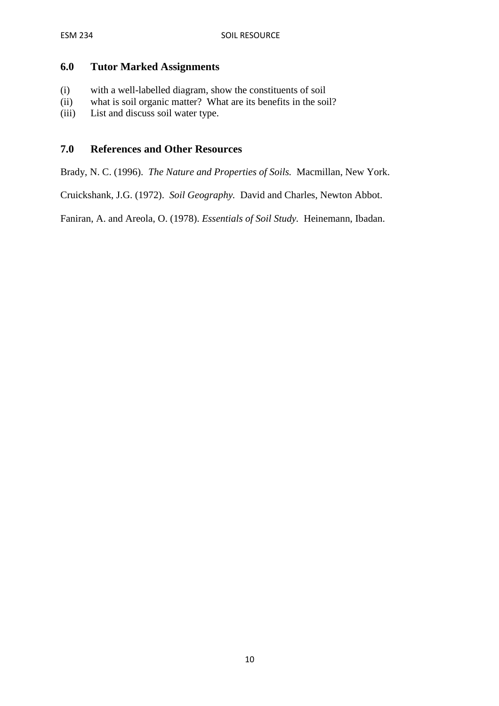#### **6.0 Tutor Marked Assignments**

- (i) with a well-labelled diagram, show the constituents of soil
- (ii) what is soil organic matter? What are its benefits in the soil?
- (iii) List and discuss soil water type.

#### **7.0 References and Other Resources**

Brady, N. C. (1996). *The Nature and Properties of Soils.* Macmillan, New York.

Cruickshank, J.G. (1972). *Soil Geography.* David and Charles, Newton Abbot.

Faniran, A. and Areola, O. (1978). *Essentials of Soil Study.* Heinemann, Ibadan.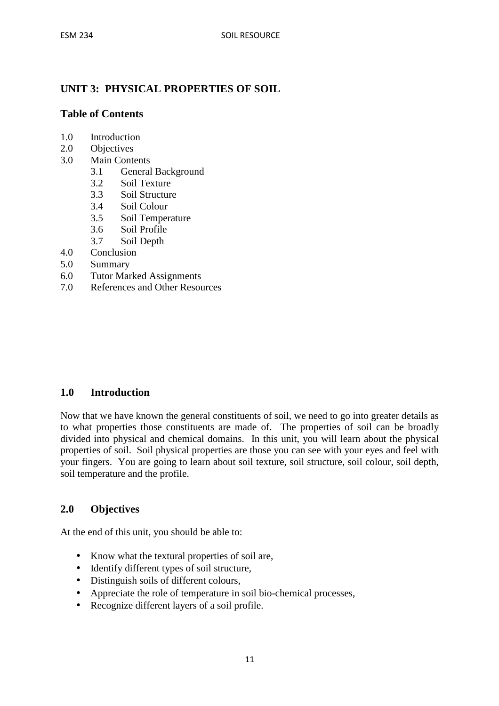# **UNIT 3: PHYSICAL PROPERTIES OF SOIL**

#### **Table of Contents**

- 1.0 Introduction
- 2.0 Objectives
- 3.0 Main Contents
	- 3.1 General Background
	- 3.2 Soil Texture
	- 3.3 Soil Structure
	- 3.4 Soil Colour
	- 3.5 Soil Temperature
	- 3.6 Soil Profile
	- 3.7 Soil Depth
- 4.0 Conclusion
- 5.0 Summary
- 6.0 Tutor Marked Assignments
- 7.0 References and Other Resources

### **1.0 Introduction**

Now that we have known the general constituents of soil, we need to go into greater details as to what properties those constituents are made of. The properties of soil can be broadly divided into physical and chemical domains. In this unit, you will learn about the physical properties of soil. Soil physical properties are those you can see with your eyes and feel with your fingers. You are going to learn about soil texture, soil structure, soil colour, soil depth, soil temperature and the profile.

#### **2.0 Objectives**

At the end of this unit, you should be able to:

- Know what the textural properties of soil are,
- Identify different types of soil structure,
- Distinguish soils of different colours,
- Appreciate the role of temperature in soil bio-chemical processes,
- Recognize different layers of a soil profile.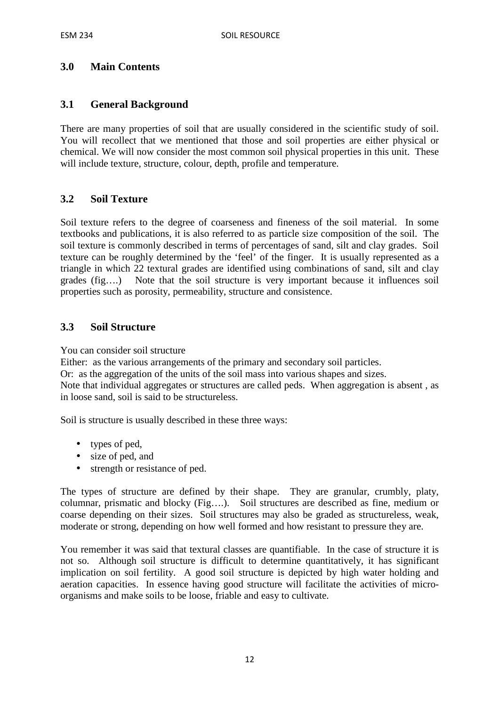# **3.0 Main Contents**

### **3.1 General Background**

There are many properties of soil that are usually considered in the scientific study of soil. You will recollect that we mentioned that those and soil properties are either physical or chemical. We will now consider the most common soil physical properties in this unit. These will include texture, structure, colour, depth, profile and temperature.

#### **3.2 Soil Texture**

Soil texture refers to the degree of coarseness and fineness of the soil material. In some textbooks and publications, it is also referred to as particle size composition of the soil. The soil texture is commonly described in terms of percentages of sand, silt and clay grades. Soil texture can be roughly determined by the 'feel' of the finger. It is usually represented as a triangle in which 22 textural grades are identified using combinations of sand, silt and clay grades (fig….) Note that the soil structure is very important because it influences soil properties such as porosity, permeability, structure and consistence.

### **3.3 Soil Structure**

You can consider soil structure

Either: as the various arrangements of the primary and secondary soil particles.

Or: as the aggregation of the units of the soil mass into various shapes and sizes.

Note that individual aggregates or structures are called peds. When aggregation is absent , as in loose sand, soil is said to be structureless.

Soil is structure is usually described in these three ways:

- types of ped,
- size of ped, and
- strength or resistance of ped.

The types of structure are defined by their shape. They are granular, crumbly, platy, columnar, prismatic and blocky (Fig….). Soil structures are described as fine, medium or coarse depending on their sizes. Soil structures may also be graded as structureless, weak, moderate or strong, depending on how well formed and how resistant to pressure they are.

You remember it was said that textural classes are quantifiable. In the case of structure it is not so. Although soil structure is difficult to determine quantitatively, it has significant implication on soil fertility. A good soil structure is depicted by high water holding and aeration capacities. In essence having good structure will facilitate the activities of microorganisms and make soils to be loose, friable and easy to cultivate.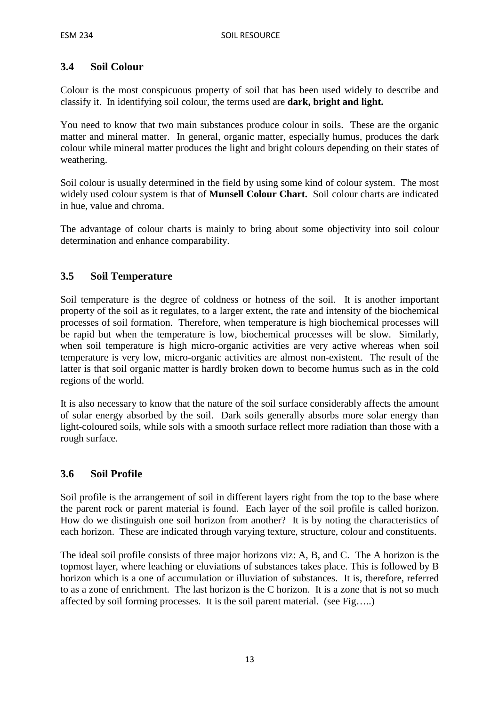# **3.4 Soil Colour**

Colour is the most conspicuous property of soil that has been used widely to describe and classify it. In identifying soil colour, the terms used are **dark, bright and light.**

You need to know that two main substances produce colour in soils. These are the organic matter and mineral matter. In general, organic matter, especially humus, produces the dark colour while mineral matter produces the light and bright colours depending on their states of weathering.

Soil colour is usually determined in the field by using some kind of colour system. The most widely used colour system is that of **Munsell Colour Chart.** Soil colour charts are indicated in hue, value and chroma.

The advantage of colour charts is mainly to bring about some objectivity into soil colour determination and enhance comparability.

# **3.5 Soil Temperature**

Soil temperature is the degree of coldness or hotness of the soil. It is another important property of the soil as it regulates, to a larger extent, the rate and intensity of the biochemical processes of soil formation. Therefore, when temperature is high biochemical processes will be rapid but when the temperature is low, biochemical processes will be slow. Similarly, when soil temperature is high micro-organic activities are very active whereas when soil temperature is very low, micro-organic activities are almost non-existent. The result of the latter is that soil organic matter is hardly broken down to become humus such as in the cold regions of the world.

It is also necessary to know that the nature of the soil surface considerably affects the amount of solar energy absorbed by the soil. Dark soils generally absorbs more solar energy than light-coloured soils, while sols with a smooth surface reflect more radiation than those with a rough surface.

# **3.6 Soil Profile**

Soil profile is the arrangement of soil in different layers right from the top to the base where the parent rock or parent material is found. Each layer of the soil profile is called horizon. How do we distinguish one soil horizon from another? It is by noting the characteristics of each horizon. These are indicated through varying texture, structure, colour and constituents.

The ideal soil profile consists of three major horizons viz: A, B, and C. The A horizon is the topmost layer, where leaching or eluviations of substances takes place. This is followed by B horizon which is a one of accumulation or illuviation of substances. It is, therefore, referred to as a zone of enrichment. The last horizon is the C horizon. It is a zone that is not so much affected by soil forming processes. It is the soil parent material. (see Fig…..)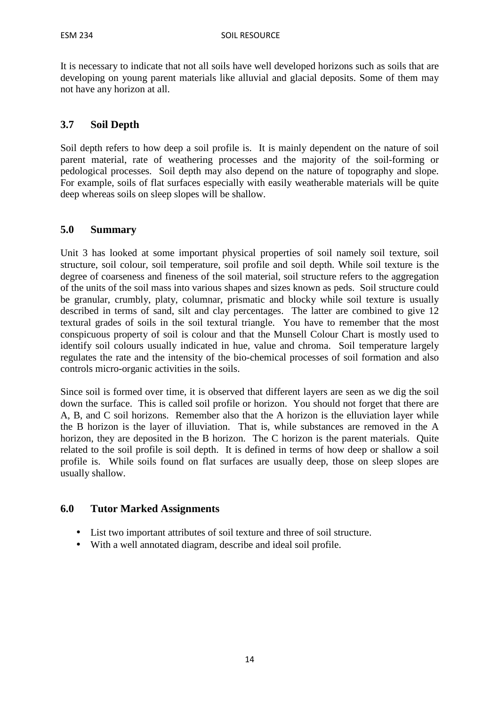It is necessary to indicate that not all soils have well developed horizons such as soils that are developing on young parent materials like alluvial and glacial deposits. Some of them may not have any horizon at all.

# **3.7 Soil Depth**

Soil depth refers to how deep a soil profile is. It is mainly dependent on the nature of soil parent material, rate of weathering processes and the majority of the soil-forming or pedological processes. Soil depth may also depend on the nature of topography and slope. For example, soils of flat surfaces especially with easily weatherable materials will be quite deep whereas soils on sleep slopes will be shallow.

### **5.0 Summary**

Unit 3 has looked at some important physical properties of soil namely soil texture, soil structure, soil colour, soil temperature, soil profile and soil depth. While soil texture is the degree of coarseness and fineness of the soil material, soil structure refers to the aggregation of the units of the soil mass into various shapes and sizes known as peds. Soil structure could be granular, crumbly, platy, columnar, prismatic and blocky while soil texture is usually described in terms of sand, silt and clay percentages. The latter are combined to give 12 textural grades of soils in the soil textural triangle. You have to remember that the most conspicuous property of soil is colour and that the Munsell Colour Chart is mostly used to identify soil colours usually indicated in hue, value and chroma. Soil temperature largely regulates the rate and the intensity of the bio-chemical processes of soil formation and also controls micro-organic activities in the soils.

Since soil is formed over time, it is observed that different layers are seen as we dig the soil down the surface. This is called soil profile or horizon. You should not forget that there are A, B, and C soil horizons. Remember also that the A horizon is the elluviation layer while the B horizon is the layer of illuviation. That is, while substances are removed in the A horizon, they are deposited in the B horizon. The C horizon is the parent materials. Quite related to the soil profile is soil depth. It is defined in terms of how deep or shallow a soil profile is. While soils found on flat surfaces are usually deep, those on sleep slopes are usually shallow.

# **6.0 Tutor Marked Assignments**

- List two important attributes of soil texture and three of soil structure.
- With a well annotated diagram, describe and ideal soil profile.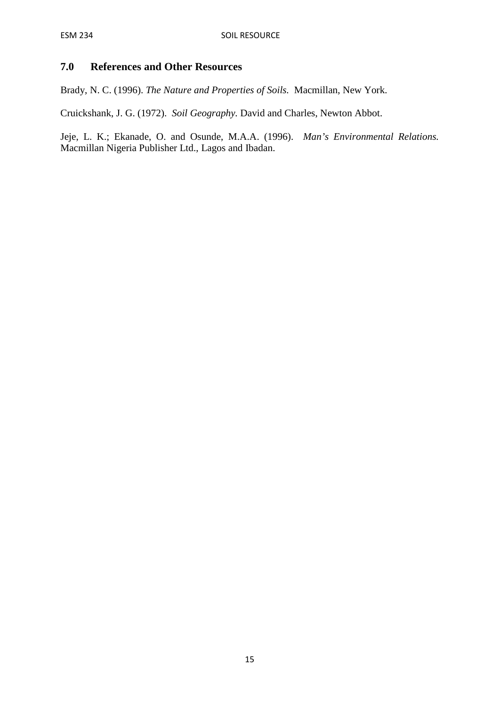# **7.0 References and Other Resources**

Brady, N. C. (1996). *The Nature and Properties of Soils.* Macmillan, New York.

Cruickshank, J. G. (1972). *Soil Geography.* David and Charles, Newton Abbot.

Jeje, L. K.; Ekanade, O. and Osunde, M.A.A. (1996). *Man's Environmental Relations.*  Macmillan Nigeria Publisher Ltd., Lagos and Ibadan.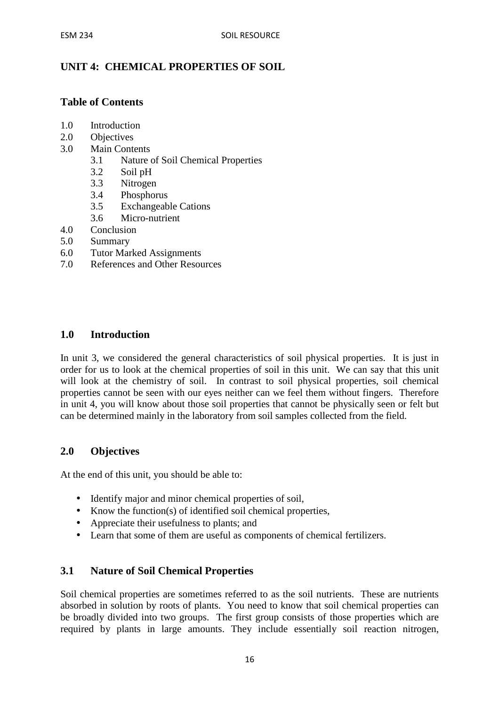# **UNIT 4: CHEMICAL PROPERTIES OF SOIL**

### **Table of Contents**

- 1.0 Introduction
- 2.0 Objectives
- 3.0 Main Contents
	- 3.1 Nature of Soil Chemical Properties
	- 3.2 Soil pH
	- 3.3 Nitrogen
	- 3.4 Phosphorus
	- 3.5 Exchangeable Cations
	- 3.6 Micro-nutrient
- 4.0 Conclusion
- 5.0 Summary
- 6.0 Tutor Marked Assignments
- 7.0 References and Other Resources

#### **1.0 Introduction**

In unit 3, we considered the general characteristics of soil physical properties. It is just in order for us to look at the chemical properties of soil in this unit. We can say that this unit will look at the chemistry of soil. In contrast to soil physical properties, soil chemical properties cannot be seen with our eyes neither can we feel them without fingers. Therefore in unit 4, you will know about those soil properties that cannot be physically seen or felt but can be determined mainly in the laboratory from soil samples collected from the field.

#### **2.0 Objectives**

At the end of this unit, you should be able to:

- Identify major and minor chemical properties of soil,
- Know the function(s) of identified soil chemical properties,
- Appreciate their usefulness to plants; and
- Learn that some of them are useful as components of chemical fertilizers.

#### **3.1 Nature of Soil Chemical Properties**

Soil chemical properties are sometimes referred to as the soil nutrients. These are nutrients absorbed in solution by roots of plants. You need to know that soil chemical properties can be broadly divided into two groups. The first group consists of those properties which are required by plants in large amounts. They include essentially soil reaction nitrogen,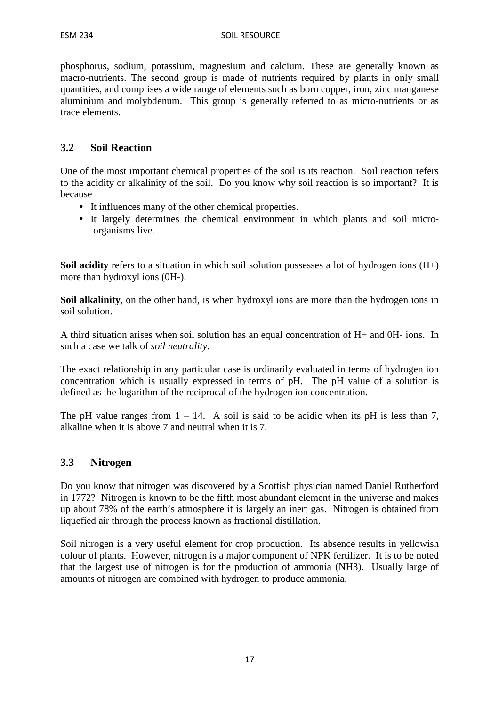phosphorus, sodium, potassium, magnesium and calcium. These are generally known as macro-nutrients. The second group is made of nutrients required by plants in only small quantities, and comprises a wide range of elements such as born copper, iron, zinc manganese aluminium and molybdenum. This group is generally referred to as micro-nutrients or as trace elements.

# **3.2 Soil Reaction**

One of the most important chemical properties of the soil is its reaction. Soil reaction refers to the acidity or alkalinity of the soil. Do you know why soil reaction is so important? It is because

- It influences many of the other chemical properties.
- It largely determines the chemical environment in which plants and soil microorganisms live.

**Soil acidity** refers to a situation in which soil solution possesses a lot of hydrogen ions  $(H<sub>+</sub>)$ more than hydroxyl ions (0H-).

**Soil alkalinity**, on the other hand, is when hydroxyl ions are more than the hydrogen ions in soil solution.

A third situation arises when soil solution has an equal concentration of H+ and 0H- ions. In such a case we talk of *soil neutrality*.

The exact relationship in any particular case is ordinarily evaluated in terms of hydrogen ion concentration which is usually expressed in terms of pH. The pH value of a solution is defined as the logarithm of the reciprocal of the hydrogen ion concentration.

The pH value ranges from  $1 - 14$ . A soil is said to be acidic when its pH is less than 7, alkaline when it is above 7 and neutral when it is 7.

#### **3.3 Nitrogen**

Do you know that nitrogen was discovered by a Scottish physician named Daniel Rutherford in 1772? Nitrogen is known to be the fifth most abundant element in the universe and makes up about 78% of the earth's atmosphere it is largely an inert gas. Nitrogen is obtained from liquefied air through the process known as fractional distillation.

Soil nitrogen is a very useful element for crop production. Its absence results in yellowish colour of plants. However, nitrogen is a major component of NPK fertilizer. It is to be noted that the largest use of nitrogen is for the production of ammonia (NH3). Usually large of amounts of nitrogen are combined with hydrogen to produce ammonia.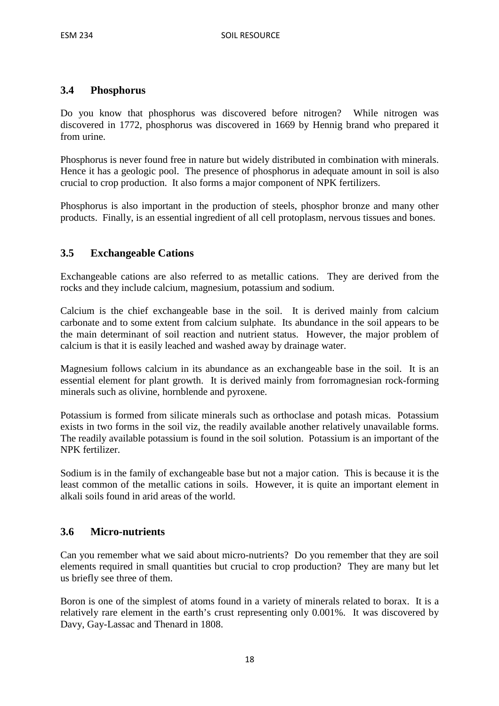#### **3.4 Phosphorus**

Do you know that phosphorus was discovered before nitrogen? While nitrogen was discovered in 1772, phosphorus was discovered in 1669 by Hennig brand who prepared it from urine.

Phosphorus is never found free in nature but widely distributed in combination with minerals. Hence it has a geologic pool. The presence of phosphorus in adequate amount in soil is also crucial to crop production. It also forms a major component of NPK fertilizers.

Phosphorus is also important in the production of steels, phosphor bronze and many other products. Finally, is an essential ingredient of all cell protoplasm, nervous tissues and bones.

#### **3.5 Exchangeable Cations**

Exchangeable cations are also referred to as metallic cations. They are derived from the rocks and they include calcium, magnesium, potassium and sodium.

Calcium is the chief exchangeable base in the soil. It is derived mainly from calcium carbonate and to some extent from calcium sulphate. Its abundance in the soil appears to be the main determinant of soil reaction and nutrient status. However, the major problem of calcium is that it is easily leached and washed away by drainage water.

Magnesium follows calcium in its abundance as an exchangeable base in the soil. It is an essential element for plant growth. It is derived mainly from forromagnesian rock-forming minerals such as olivine, hornblende and pyroxene.

Potassium is formed from silicate minerals such as orthoclase and potash micas. Potassium exists in two forms in the soil viz, the readily available another relatively unavailable forms. The readily available potassium is found in the soil solution. Potassium is an important of the NPK fertilizer.

Sodium is in the family of exchangeable base but not a major cation. This is because it is the least common of the metallic cations in soils. However, it is quite an important element in alkali soils found in arid areas of the world.

#### **3.6 Micro-nutrients**

Can you remember what we said about micro-nutrients? Do you remember that they are soil elements required in small quantities but crucial to crop production? They are many but let us briefly see three of them.

Boron is one of the simplest of atoms found in a variety of minerals related to borax. It is a relatively rare element in the earth's crust representing only 0.001%. It was discovered by Davy, Gay-Lassac and Thenard in 1808.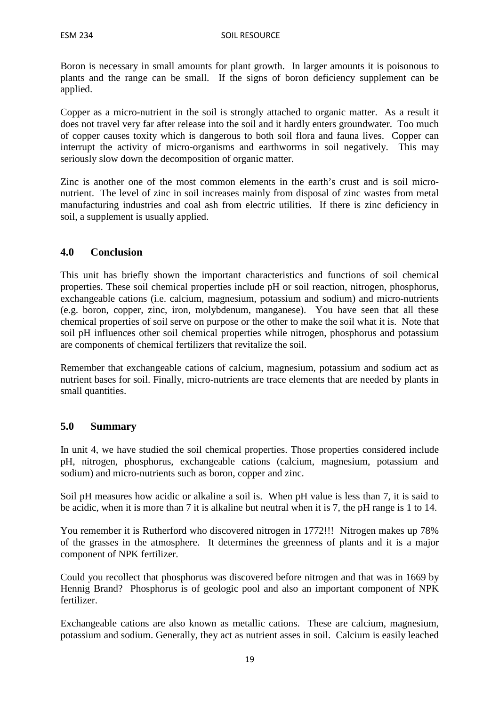Boron is necessary in small amounts for plant growth. In larger amounts it is poisonous to plants and the range can be small. If the signs of boron deficiency supplement can be applied.

Copper as a micro-nutrient in the soil is strongly attached to organic matter. As a result it does not travel very far after release into the soil and it hardly enters groundwater. Too much of copper causes toxity which is dangerous to both soil flora and fauna lives. Copper can interrupt the activity of micro-organisms and earthworms in soil negatively. This may seriously slow down the decomposition of organic matter.

Zinc is another one of the most common elements in the earth's crust and is soil micronutrient. The level of zinc in soil increases mainly from disposal of zinc wastes from metal manufacturing industries and coal ash from electric utilities. If there is zinc deficiency in soil, a supplement is usually applied.

# **4.0 Conclusion**

This unit has briefly shown the important characteristics and functions of soil chemical properties. These soil chemical properties include pH or soil reaction, nitrogen, phosphorus, exchangeable cations (i.e. calcium, magnesium, potassium and sodium) and micro-nutrients (e.g. boron, copper, zinc, iron, molybdenum, manganese). You have seen that all these chemical properties of soil serve on purpose or the other to make the soil what it is. Note that soil pH influences other soil chemical properties while nitrogen, phosphorus and potassium are components of chemical fertilizers that revitalize the soil.

Remember that exchangeable cations of calcium, magnesium, potassium and sodium act as nutrient bases for soil. Finally, micro-nutrients are trace elements that are needed by plants in small quantities.

# **5.0 Summary**

In unit 4, we have studied the soil chemical properties. Those properties considered include pH, nitrogen, phosphorus, exchangeable cations (calcium, magnesium, potassium and sodium) and micro-nutrients such as boron, copper and zinc.

Soil pH measures how acidic or alkaline a soil is. When pH value is less than 7, it is said to be acidic, when it is more than 7 it is alkaline but neutral when it is 7, the pH range is 1 to 14.

You remember it is Rutherford who discovered nitrogen in 1772!!! Nitrogen makes up 78% of the grasses in the atmosphere. It determines the greenness of plants and it is a major component of NPK fertilizer.

Could you recollect that phosphorus was discovered before nitrogen and that was in 1669 by Hennig Brand? Phosphorus is of geologic pool and also an important component of NPK fertilizer.

Exchangeable cations are also known as metallic cations. These are calcium, magnesium, potassium and sodium. Generally, they act as nutrient asses in soil. Calcium is easily leached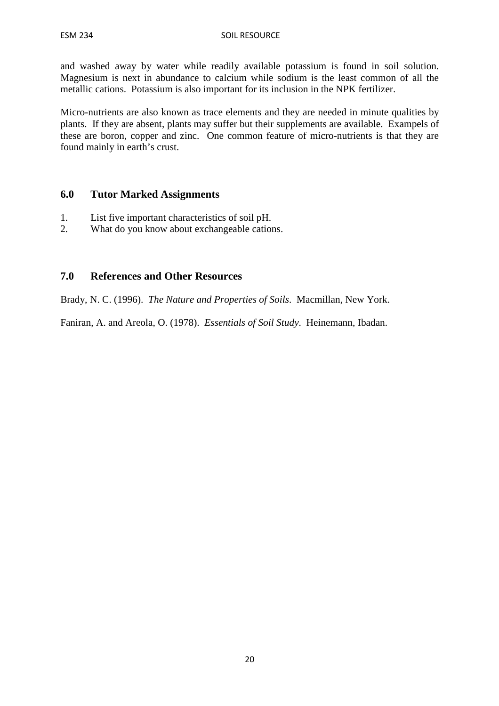and washed away by water while readily available potassium is found in soil solution. Magnesium is next in abundance to calcium while sodium is the least common of all the metallic cations. Potassium is also important for its inclusion in the NPK fertilizer.

Micro-nutrients are also known as trace elements and they are needed in minute qualities by plants. If they are absent, plants may suffer but their supplements are available. Exampels of these are boron, copper and zinc. One common feature of micro-nutrients is that they are found mainly in earth's crust.

#### **6.0 Tutor Marked Assignments**

- 1. List five important characteristics of soil pH.
- 2. What do you know about exchangeable cations.

#### **7.0 References and Other Resources**

Brady, N. C. (1996). *The Nature and Properties of Soils*. Macmillan, New York.

Faniran, A. and Areola, O. (1978). *Essentials of Soil Study*. Heinemann, Ibadan.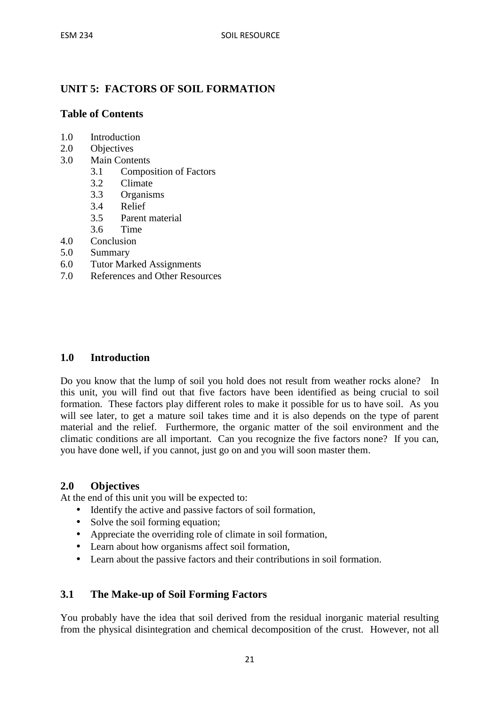# **UNIT 5: FACTORS OF SOIL FORMATION**

### **Table of Contents**

- 1.0 Introduction
- 2.0 Objectives
- 3.0 Main Contents
	- 3.1 Composition of Factors
	- 3.2 Climate
	- 3.3 Organisms
	- 3.4 Relief
	- 3.5 Parent material
	- 3.6 Time
- 4.0 Conclusion
- 5.0 Summary
- 6.0 Tutor Marked Assignments
- 7.0 References and Other Resources

#### **1.0 Introduction**

Do you know that the lump of soil you hold does not result from weather rocks alone? In this unit, you will find out that five factors have been identified as being crucial to soil formation. These factors play different roles to make it possible for us to have soil. As you will see later, to get a mature soil takes time and it is also depends on the type of parent material and the relief. Furthermore, the organic matter of the soil environment and the climatic conditions are all important. Can you recognize the five factors none? If you can, you have done well, if you cannot, just go on and you will soon master them.

#### **2.0 Objectives**

At the end of this unit you will be expected to:

- Identify the active and passive factors of soil formation.
- Solve the soil forming equation;
- Appreciate the overriding role of climate in soil formation,
- Learn about how organisms affect soil formation,
- Learn about the passive factors and their contributions in soil formation.

# **3.1 The Make-up of Soil Forming Factors**

You probably have the idea that soil derived from the residual inorganic material resulting from the physical disintegration and chemical decomposition of the crust. However, not all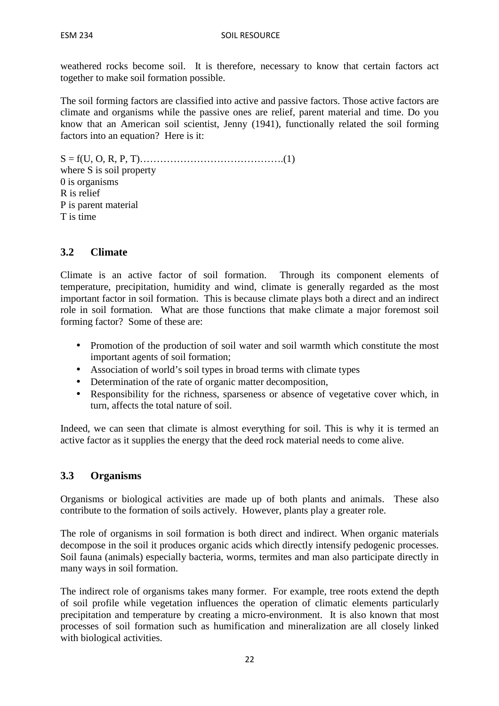weathered rocks become soil. It is therefore, necessary to know that certain factors act together to make soil formation possible.

The soil forming factors are classified into active and passive factors. Those active factors are climate and organisms while the passive ones are relief, parent material and time. Do you know that an American soil scientist, Jenny (1941), functionally related the soil forming factors into an equation? Here is it:

S = f(U, O, R, P, T)…………………………………….(1) where S is soil property 0 is organisms R is relief P is parent material T is time

### **3.2 Climate**

Climate is an active factor of soil formation. Through its component elements of temperature, precipitation, humidity and wind, climate is generally regarded as the most important factor in soil formation. This is because climate plays both a direct and an indirect role in soil formation. What are those functions that make climate a major foremost soil forming factor? Some of these are:

- Promotion of the production of soil water and soil warmth which constitute the most important agents of soil formation;
- Association of world's soil types in broad terms with climate types
- Determination of the rate of organic matter decomposition,
- Responsibility for the richness, sparseness or absence of vegetative cover which, in turn, affects the total nature of soil.

Indeed, we can seen that climate is almost everything for soil. This is why it is termed an active factor as it supplies the energy that the deed rock material needs to come alive.

#### **3.3 Organisms**

Organisms or biological activities are made up of both plants and animals. These also contribute to the formation of soils actively. However, plants play a greater role.

The role of organisms in soil formation is both direct and indirect. When organic materials decompose in the soil it produces organic acids which directly intensify pedogenic processes. Soil fauna (animals) especially bacteria, worms, termites and man also participate directly in many ways in soil formation.

The indirect role of organisms takes many former. For example, tree roots extend the depth of soil profile while vegetation influences the operation of climatic elements particularly precipitation and temperature by creating a micro-environment. It is also known that most processes of soil formation such as humification and mineralization are all closely linked with biological activities.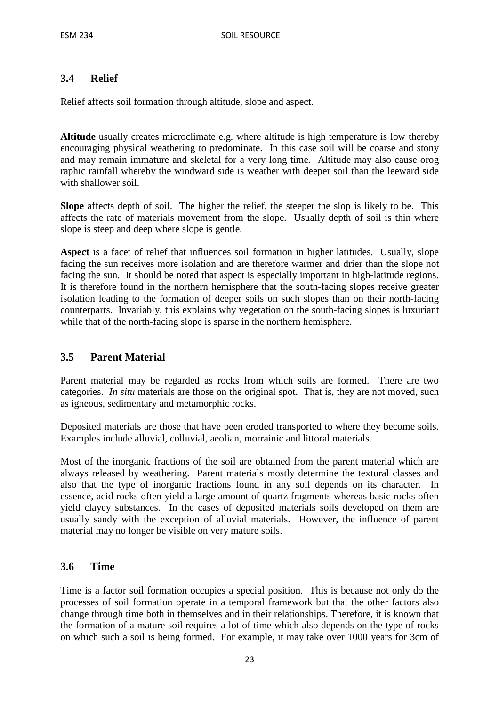# **3.4 Relief**

Relief affects soil formation through altitude, slope and aspect.

**Altitude** usually creates microclimate e.g. where altitude is high temperature is low thereby encouraging physical weathering to predominate. In this case soil will be coarse and stony and may remain immature and skeletal for a very long time. Altitude may also cause orog raphic rainfall whereby the windward side is weather with deeper soil than the leeward side with shallower soil.

**Slope** affects depth of soil. The higher the relief, the steeper the slop is likely to be. This affects the rate of materials movement from the slope. Usually depth of soil is thin where slope is steep and deep where slope is gentle.

**Aspect** is a facet of relief that influences soil formation in higher latitudes. Usually, slope facing the sun receives more isolation and are therefore warmer and drier than the slope not facing the sun. It should be noted that aspect is especially important in high-latitude regions. It is therefore found in the northern hemisphere that the south-facing slopes receive greater isolation leading to the formation of deeper soils on such slopes than on their north-facing counterparts. Invariably, this explains why vegetation on the south-facing slopes is luxuriant while that of the north-facing slope is sparse in the northern hemisphere.

# **3.5 Parent Material**

Parent material may be regarded as rocks from which soils are formed. There are two categories. *In situ* materials are those on the original spot. That is, they are not moved, such as igneous, sedimentary and metamorphic rocks.

Deposited materials are those that have been eroded transported to where they become soils. Examples include alluvial, colluvial, aeolian, morrainic and littoral materials.

Most of the inorganic fractions of the soil are obtained from the parent material which are always released by weathering. Parent materials mostly determine the textural classes and also that the type of inorganic fractions found in any soil depends on its character. In essence, acid rocks often yield a large amount of quartz fragments whereas basic rocks often yield clayey substances. In the cases of deposited materials soils developed on them are usually sandy with the exception of alluvial materials. However, the influence of parent material may no longer be visible on very mature soils.

#### **3.6 Time**

Time is a factor soil formation occupies a special position. This is because not only do the processes of soil formation operate in a temporal framework but that the other factors also change through time both in themselves and in their relationships. Therefore, it is known that the formation of a mature soil requires a lot of time which also depends on the type of rocks on which such a soil is being formed. For example, it may take over 1000 years for 3cm of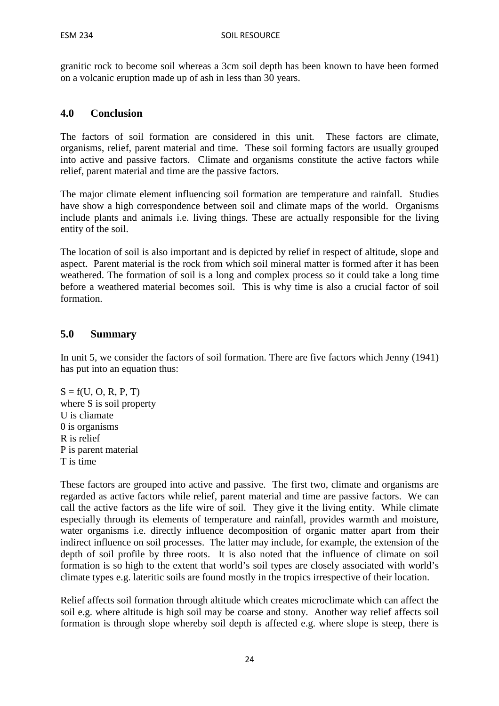granitic rock to become soil whereas a 3cm soil depth has been known to have been formed on a volcanic eruption made up of ash in less than 30 years.

#### **4.0 Conclusion**

The factors of soil formation are considered in this unit. These factors are climate, organisms, relief, parent material and time. These soil forming factors are usually grouped into active and passive factors. Climate and organisms constitute the active factors while relief, parent material and time are the passive factors.

The major climate element influencing soil formation are temperature and rainfall. Studies have show a high correspondence between soil and climate maps of the world. Organisms include plants and animals i.e. living things. These are actually responsible for the living entity of the soil.

The location of soil is also important and is depicted by relief in respect of altitude, slope and aspect. Parent material is the rock from which soil mineral matter is formed after it has been weathered. The formation of soil is a long and complex process so it could take a long time before a weathered material becomes soil. This is why time is also a crucial factor of soil formation.

#### **5.0 Summary**

In unit 5, we consider the factors of soil formation. There are five factors which Jenny (1941) has put into an equation thus:

 $S = f(U, O, R, P, T)$ where S is soil property U is cliamate 0 is organisms R is relief P is parent material T is time

These factors are grouped into active and passive. The first two, climate and organisms are regarded as active factors while relief, parent material and time are passive factors. We can call the active factors as the life wire of soil. They give it the living entity. While climate especially through its elements of temperature and rainfall, provides warmth and moisture, water organisms i.e. directly influence decomposition of organic matter apart from their indirect influence on soil processes. The latter may include, for example, the extension of the depth of soil profile by three roots. It is also noted that the influence of climate on soil formation is so high to the extent that world's soil types are closely associated with world's climate types e.g. lateritic soils are found mostly in the tropics irrespective of their location.

Relief affects soil formation through altitude which creates microclimate which can affect the soil e.g. where altitude is high soil may be coarse and stony. Another way relief affects soil formation is through slope whereby soil depth is affected e.g. where slope is steep, there is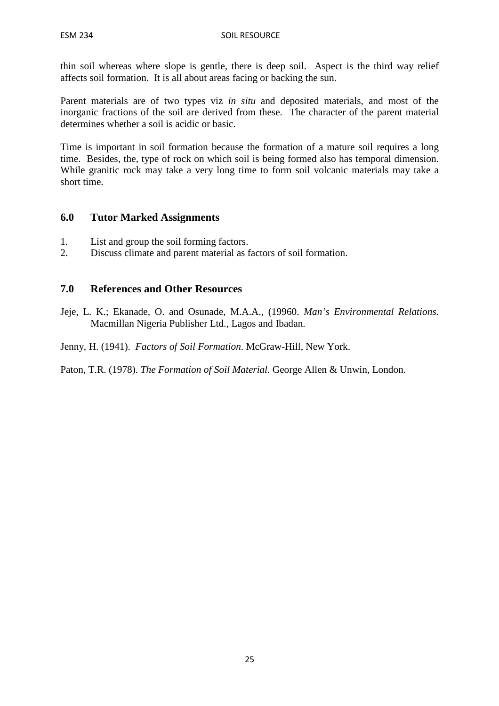thin soil whereas where slope is gentle, there is deep soil. Aspect is the third way relief affects soil formation. It is all about areas facing or backing the sun.

Parent materials are of two types viz *in situ* and deposited materials, and most of the inorganic fractions of the soil are derived from these. The character of the parent material determines whether a soil is acidic or basic.

Time is important in soil formation because the formation of a mature soil requires a long time. Besides, the, type of rock on which soil is being formed also has temporal dimension. While granitic rock may take a very long time to form soil volcanic materials may take a short time.

### **6.0 Tutor Marked Assignments**

- 1. List and group the soil forming factors.
- 2. Discuss climate and parent material as factors of soil formation.

#### **7.0 References and Other Resources**

Jeje, L. K.; Ekanade, O. and Osunade, M.A.A., (19960. *Man's Environmental Relations.*  Macmillan Nigeria Publisher Ltd., Lagos and Ibadan.

Jenny, H. (1941). *Factors of Soil Formation*. McGraw-Hill, New York.

Paton, T.R. (1978). *The Formation of Soil Material.* George Allen & Unwin, London.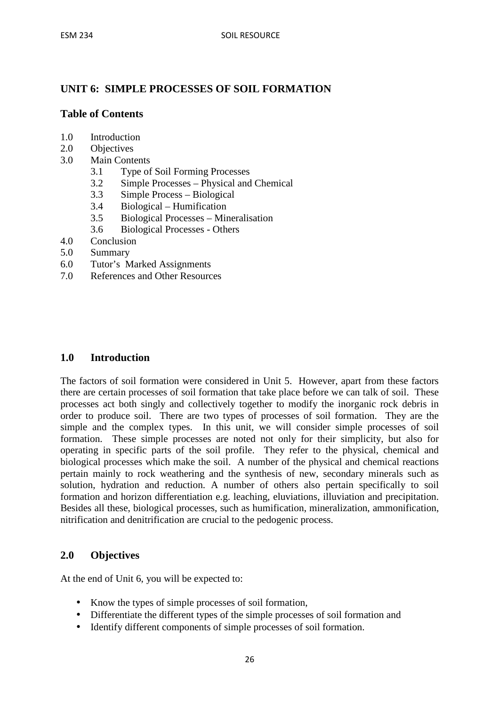# **UNIT 6: SIMPLE PROCESSES OF SOIL FORMATION**

### **Table of Contents**

- 1.0 Introduction
- 2.0 Objectives
- 3.0 Main Contents
	- 3.1 Type of Soil Forming Processes
	- 3.2 Simple Processes Physical and Chemical
	- 3.3 Simple Process Biological
	- 3.4 Biological Humification
	- 3.5 Biological Processes Mineralisation
	- 3.6 Biological Processes Others
- 4.0 Conclusion
- 5.0 Summary
- 6.0 Tutor's Marked Assignments
- 7.0 References and Other Resources

#### **1.0 Introduction**

The factors of soil formation were considered in Unit 5. However, apart from these factors there are certain processes of soil formation that take place before we can talk of soil. These processes act both singly and collectively together to modify the inorganic rock debris in order to produce soil. There are two types of processes of soil formation. They are the simple and the complex types. In this unit, we will consider simple processes of soil formation. These simple processes are noted not only for their simplicity, but also for operating in specific parts of the soil profile. They refer to the physical, chemical and biological processes which make the soil. A number of the physical and chemical reactions pertain mainly to rock weathering and the synthesis of new, secondary minerals such as solution, hydration and reduction. A number of others also pertain specifically to soil formation and horizon differentiation e.g. leaching, eluviations, illuviation and precipitation. Besides all these, biological processes, such as humification, mineralization, ammonification, nitrification and denitrification are crucial to the pedogenic process.

#### **2.0 Objectives**

At the end of Unit 6, you will be expected to:

- Know the types of simple processes of soil formation,
- Differentiate the different types of the simple processes of soil formation and
- Identify different components of simple processes of soil formation.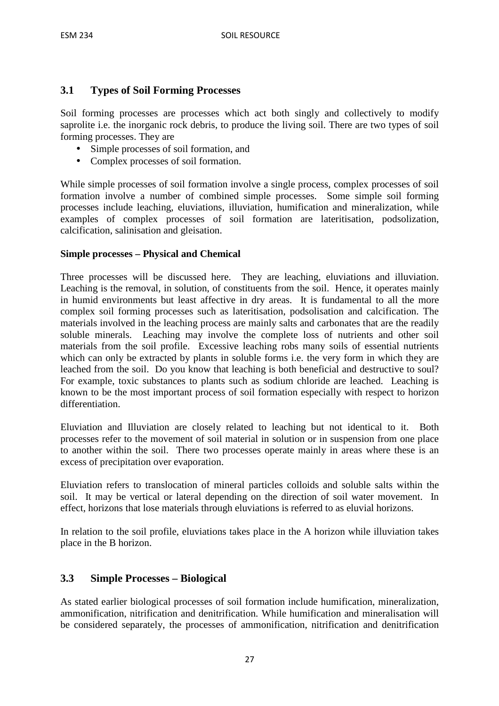# **3.1 Types of Soil Forming Processes**

Soil forming processes are processes which act both singly and collectively to modify saprolite i.e. the inorganic rock debris, to produce the living soil. There are two types of soil forming processes. They are

- Simple processes of soil formation, and
- Complex processes of soil formation.

While simple processes of soil formation involve a single process, complex processes of soil formation involve a number of combined simple processes. Some simple soil forming processes include leaching, eluviations, illuviation, humification and mineralization, while examples of complex processes of soil formation are lateritisation, podsolization, calcification, salinisation and gleisation.

#### **Simple processes – Physical and Chemical**

Three processes will be discussed here. They are leaching, eluviations and illuviation. Leaching is the removal, in solution, of constituents from the soil. Hence, it operates mainly in humid environments but least affective in dry areas. It is fundamental to all the more complex soil forming processes such as lateritisation, podsolisation and calcification. The materials involved in the leaching process are mainly salts and carbonates that are the readily soluble minerals. Leaching may involve the complete loss of nutrients and other soil materials from the soil profile. Excessive leaching robs many soils of essential nutrients which can only be extracted by plants in soluble forms i.e. the very form in which they are leached from the soil. Do you know that leaching is both beneficial and destructive to soul? For example, toxic substances to plants such as sodium chloride are leached. Leaching is known to be the most important process of soil formation especially with respect to horizon differentiation.

Eluviation and Illuviation are closely related to leaching but not identical to it. Both processes refer to the movement of soil material in solution or in suspension from one place to another within the soil. There two processes operate mainly in areas where these is an excess of precipitation over evaporation.

Eluviation refers to translocation of mineral particles colloids and soluble salts within the soil. It may be vertical or lateral depending on the direction of soil water movement. In effect, horizons that lose materials through eluviations is referred to as eluvial horizons.

In relation to the soil profile, eluviations takes place in the A horizon while illuviation takes place in the B horizon.

# **3.3 Simple Processes – Biological**

As stated earlier biological processes of soil formation include humification, mineralization, ammonification, nitrification and denitrification. While humification and mineralisation will be considered separately, the processes of ammonification, nitrification and denitrification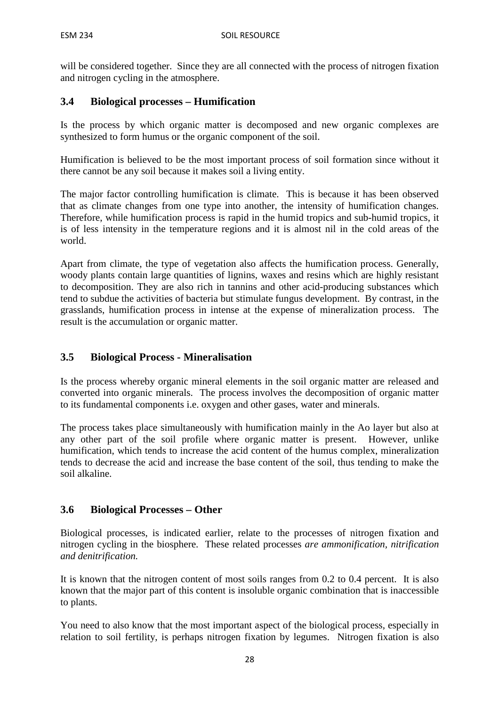will be considered together. Since they are all connected with the process of nitrogen fixation and nitrogen cycling in the atmosphere.

# **3.4 Biological processes – Humification**

Is the process by which organic matter is decomposed and new organic complexes are synthesized to form humus or the organic component of the soil.

Humification is believed to be the most important process of soil formation since without it there cannot be any soil because it makes soil a living entity.

The major factor controlling humification is climate. This is because it has been observed that as climate changes from one type into another, the intensity of humification changes. Therefore, while humification process is rapid in the humid tropics and sub-humid tropics, it is of less intensity in the temperature regions and it is almost nil in the cold areas of the world.

Apart from climate, the type of vegetation also affects the humification process. Generally, woody plants contain large quantities of lignins, waxes and resins which are highly resistant to decomposition. They are also rich in tannins and other acid-producing substances which tend to subdue the activities of bacteria but stimulate fungus development. By contrast, in the grasslands, humification process in intense at the expense of mineralization process. The result is the accumulation or organic matter.

# **3.5 Biological Process - Mineralisation**

Is the process whereby organic mineral elements in the soil organic matter are released and converted into organic minerals. The process involves the decomposition of organic matter to its fundamental components i.e. oxygen and other gases, water and minerals.

The process takes place simultaneously with humification mainly in the Ao layer but also at any other part of the soil profile where organic matter is present. However, unlike humification, which tends to increase the acid content of the humus complex, mineralization tends to decrease the acid and increase the base content of the soil, thus tending to make the soil alkaline.

#### **3.6 Biological Processes – Other**

Biological processes, is indicated earlier, relate to the processes of nitrogen fixation and nitrogen cycling in the biosphere. These related processes *are ammonification, nitrification and denitrification.* 

It is known that the nitrogen content of most soils ranges from 0.2 to 0.4 percent. It is also known that the major part of this content is insoluble organic combination that is inaccessible to plants.

You need to also know that the most important aspect of the biological process, especially in relation to soil fertility, is perhaps nitrogen fixation by legumes. Nitrogen fixation is also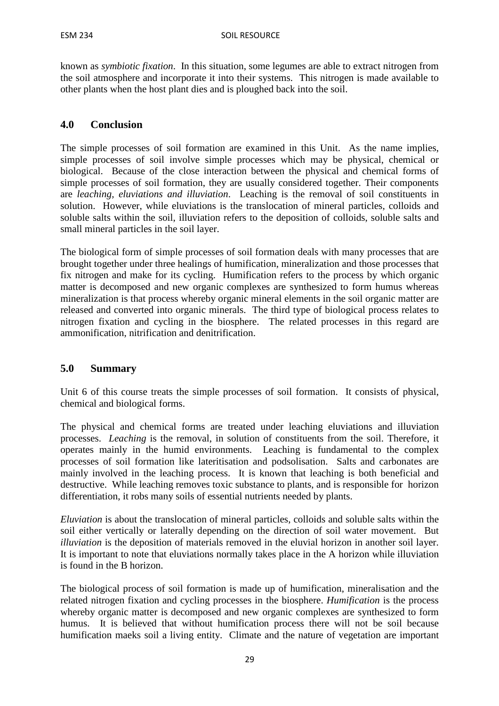known as *symbiotic fixation*. In this situation, some legumes are able to extract nitrogen from the soil atmosphere and incorporate it into their systems. This nitrogen is made available to other plants when the host plant dies and is ploughed back into the soil.

# **4.0 Conclusion**

The simple processes of soil formation are examined in this Unit. As the name implies, simple processes of soil involve simple processes which may be physical, chemical or biological. Because of the close interaction between the physical and chemical forms of simple processes of soil formation, they are usually considered together. Their components are *leaching, eluviations and illuviation*. Leaching is the removal of soil constituents in solution. However, while eluviations is the translocation of mineral particles, colloids and soluble salts within the soil, illuviation refers to the deposition of colloids, soluble salts and small mineral particles in the soil layer.

The biological form of simple processes of soil formation deals with many processes that are brought together under three healings of humification, mineralization and those processes that fix nitrogen and make for its cycling. Humification refers to the process by which organic matter is decomposed and new organic complexes are synthesized to form humus whereas mineralization is that process whereby organic mineral elements in the soil organic matter are released and converted into organic minerals. The third type of biological process relates to nitrogen fixation and cycling in the biosphere. The related processes in this regard are ammonification, nitrification and denitrification.

#### **5.0 Summary**

Unit 6 of this course treats the simple processes of soil formation. It consists of physical, chemical and biological forms.

The physical and chemical forms are treated under leaching eluviations and illuviation processes. *Leaching* is the removal, in solution of constituents from the soil. Therefore, it operates mainly in the humid environments. Leaching is fundamental to the complex processes of soil formation like lateritisation and podsolisation. Salts and carbonates are mainly involved in the leaching process. It is known that leaching is both beneficial and destructive. While leaching removes toxic substance to plants, and is responsible for horizon differentiation, it robs many soils of essential nutrients needed by plants.

*Eluviation* is about the translocation of mineral particles, colloids and soluble salts within the soil either vertically or laterally depending on the direction of soil water movement. But *illuviation* is the deposition of materials removed in the eluvial horizon in another soil layer. It is important to note that eluviations normally takes place in the A horizon while illuviation is found in the B horizon.

The biological process of soil formation is made up of humification, mineralisation and the related nitrogen fixation and cycling processes in the biosphere. *Humification* is the process whereby organic matter is decomposed and new organic complexes are synthesized to form humus. It is believed that without humification process there will not be soil because humification maeks soil a living entity. Climate and the nature of vegetation are important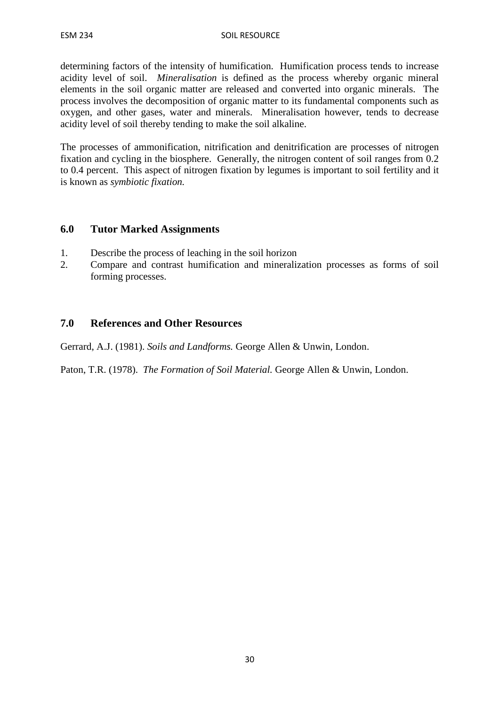determining factors of the intensity of humification. Humification process tends to increase acidity level of soil. *Mineralisation* is defined as the process whereby organic mineral elements in the soil organic matter are released and converted into organic minerals. The process involves the decomposition of organic matter to its fundamental components such as oxygen, and other gases, water and minerals. Mineralisation however, tends to decrease acidity level of soil thereby tending to make the soil alkaline.

The processes of ammonification, nitrification and denitrification are processes of nitrogen fixation and cycling in the biosphere. Generally, the nitrogen content of soil ranges from 0.2 to 0.4 percent. This aspect of nitrogen fixation by legumes is important to soil fertility and it is known as *symbiotic fixation.*

### **6.0 Tutor Marked Assignments**

- 1. Describe the process of leaching in the soil horizon
- 2. Compare and contrast humification and mineralization processes as forms of soil forming processes.

# **7.0 References and Other Resources**

Gerrard, A.J. (1981). *Soils and Landforms.* George Allen & Unwin, London.

Paton, T.R. (1978). *The Formation of Soil Material.* George Allen & Unwin, London.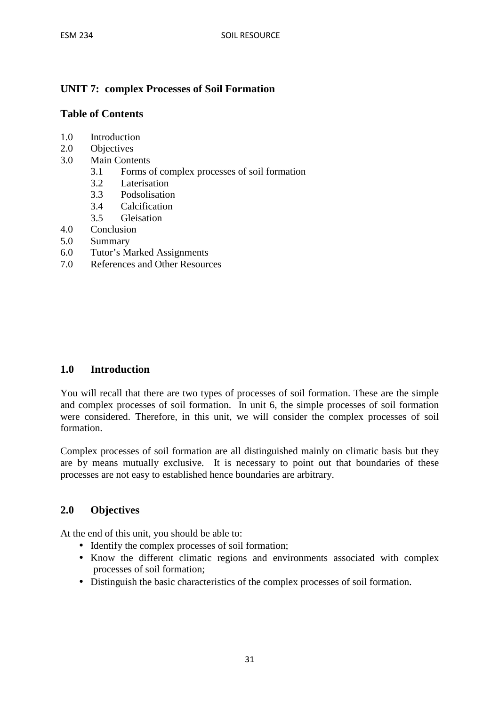# **UNIT 7: complex Processes of Soil Formation**

# **Table of Contents**

- 1.0 Introduction
- 2.0 Objectives
- 3.0 Main Contents
	- 3.1 Forms of complex processes of soil formation
	- 3.2 Laterisation
	- 3.3 Podsolisation
	- 3.4 Calcification
	- 3.5 Gleisation
- 4.0 Conclusion
- 5.0 Summary
- 6.0 Tutor's Marked Assignments
- 7.0 References and Other Resources

# **1.0 Introduction**

You will recall that there are two types of processes of soil formation. These are the simple and complex processes of soil formation. In unit 6, the simple processes of soil formation were considered. Therefore, in this unit, we will consider the complex processes of soil formation.

Complex processes of soil formation are all distinguished mainly on climatic basis but they are by means mutually exclusive. It is necessary to point out that boundaries of these processes are not easy to established hence boundaries are arbitrary.

# **2.0 Objectives**

At the end of this unit, you should be able to:

- Identify the complex processes of soil formation;
- Know the different climatic regions and environments associated with complex processes of soil formation;
- Distinguish the basic characteristics of the complex processes of soil formation.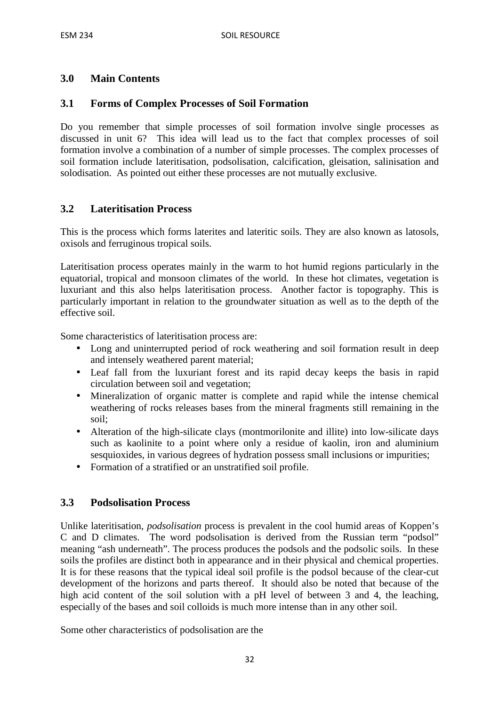# **3.0 Main Contents**

#### **3.1 Forms of Complex Processes of Soil Formation**

Do you remember that simple processes of soil formation involve single processes as discussed in unit 6? This idea will lead us to the fact that complex processes of soil formation involve a combination of a number of simple processes. The complex processes of soil formation include lateritisation, podsolisation, calcification, gleisation, salinisation and solodisation. As pointed out either these processes are not mutually exclusive.

#### **3.2 Lateritisation Process**

This is the process which forms laterites and lateritic soils. They are also known as latosols, oxisols and ferruginous tropical soils.

Lateritisation process operates mainly in the warm to hot humid regions particularly in the equatorial, tropical and monsoon climates of the world. In these hot climates, vegetation is luxuriant and this also helps lateritisation process. Another factor is topography. This is particularly important in relation to the groundwater situation as well as to the depth of the effective soil.

Some characteristics of lateritisation process are:

- Long and uninterrupted period of rock weathering and soil formation result in deep and intensely weathered parent material;
- Leaf fall from the luxuriant forest and its rapid decay keeps the basis in rapid circulation between soil and vegetation;
- Mineralization of organic matter is complete and rapid while the intense chemical weathering of rocks releases bases from the mineral fragments still remaining in the soil;
- Alteration of the high-silicate clays (montmorilonite and illite) into low-silicate days such as kaolinite to a point where only a residue of kaolin, iron and aluminium sesquioxides, in various degrees of hydration possess small inclusions or impurities;
- Formation of a stratified or an unstratified soil profile.

#### **3.3 Podsolisation Process**

Unlike lateritisation, *podsolisation* process is prevalent in the cool humid areas of Koppen's C and D climates. The word podsolisation is derived from the Russian term "podsol" meaning "ash underneath". The process produces the podsols and the podsolic soils. In these soils the profiles are distinct both in appearance and in their physical and chemical properties. It is for these reasons that the typical ideal soil profile is the podsol because of the clear-cut development of the horizons and parts thereof. It should also be noted that because of the high acid content of the soil solution with a pH level of between 3 and 4, the leaching, especially of the bases and soil colloids is much more intense than in any other soil.

Some other characteristics of podsolisation are the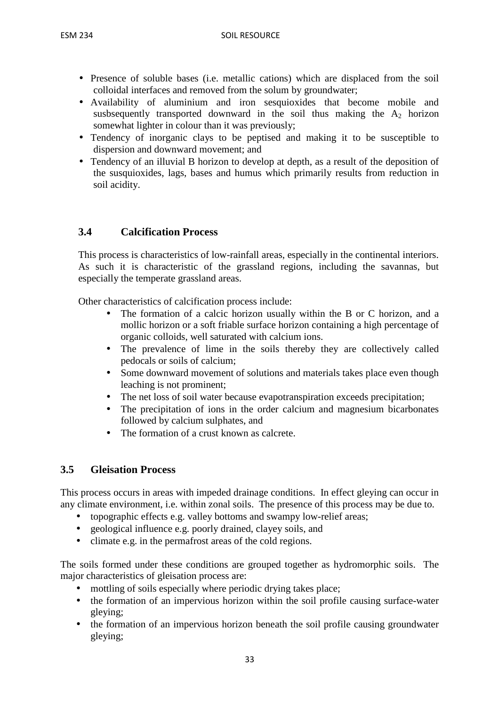- Presence of soluble bases (i.e. metallic cations) which are displaced from the soil colloidal interfaces and removed from the solum by groundwater;
- Availability of aluminium and iron sesquioxides that become mobile and susbsequently transported downward in the soil thus making the  $A_2$  horizon somewhat lighter in colour than it was previously;
- Tendency of inorganic clays to be peptised and making it to be susceptible to dispersion and downward movement; and
- Tendency of an illuvial B horizon to develop at depth, as a result of the deposition of the susquioxides, lags, bases and humus which primarily results from reduction in soil acidity.

# **3.4 Calcification Process**

This process is characteristics of low-rainfall areas, especially in the continental interiors. As such it is characteristic of the grassland regions, including the savannas, but especially the temperate grassland areas.

Other characteristics of calcification process include:

- The formation of a calcic horizon usually within the B or C horizon, and a mollic horizon or a soft friable surface horizon containing a high percentage of organic colloids, well saturated with calcium ions.
- The prevalence of lime in the soils thereby they are collectively called pedocals or soils of calcium;
- Some downward movement of solutions and materials takes place even though leaching is not prominent;
- The net loss of soil water because evapotranspiration exceeds precipitation;
- The precipitation of ions in the order calcium and magnesium bicarbonates followed by calcium sulphates, and
- The formation of a crust known as calcrete.

# **3.5 Gleisation Process**

This process occurs in areas with impeded drainage conditions. In effect gleying can occur in any climate environment, i.e. within zonal soils. The presence of this process may be due to.

- topographic effects e.g. valley bottoms and swampy low-relief areas;
- geological influence e.g. poorly drained, clayey soils, and
- climate e.g. in the permafrost areas of the cold regions.

The soils formed under these conditions are grouped together as hydromorphic soils. The major characteristics of gleisation process are:

- mottling of soils especially where periodic drying takes place;
- the formation of an impervious horizon within the soil profile causing surface-water gleying;
- the formation of an impervious horizon beneath the soil profile causing groundwater gleying;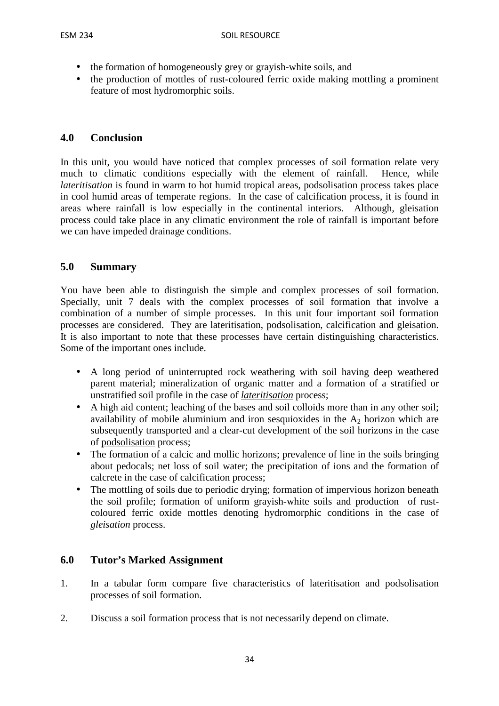- the formation of homogeneously grey or grayish-white soils, and
- the production of mottles of rust-coloured ferric oxide making mottling a prominent feature of most hydromorphic soils.

# **4.0 Conclusion**

In this unit, you would have noticed that complex processes of soil formation relate very much to climatic conditions especially with the element of rainfall. Hence, while *lateritisation* is found in warm to hot humid tropical areas, podsolisation process takes place in cool humid areas of temperate regions. In the case of calcification process, it is found in areas where rainfall is low especially in the continental interiors. Although, gleisation process could take place in any climatic environment the role of rainfall is important before we can have impeded drainage conditions.

### **5.0 Summary**

You have been able to distinguish the simple and complex processes of soil formation. Specially, unit 7 deals with the complex processes of soil formation that involve a combination of a number of simple processes. In this unit four important soil formation processes are considered. They are lateritisation, podsolisation, calcification and gleisation. It is also important to note that these processes have certain distinguishing characteristics. Some of the important ones include.

- A long period of uninterrupted rock weathering with soil having deep weathered parent material; mineralization of organic matter and a formation of a stratified or unstratified soil profile in the case of *lateritisation* process;
- A high aid content; leaching of the bases and soil colloids more than in any other soil; availability of mobile aluminium and iron sesquioxides in the  $A<sub>2</sub>$  horizon which are subsequently transported and a clear-cut development of the soil horizons in the case of podsolisation process;
- The formation of a calcic and mollic horizons; prevalence of line in the soils bringing about pedocals; net loss of soil water; the precipitation of ions and the formation of calcrete in the case of calcification process;
- The mottling of soils due to periodic drying; formation of impervious horizon beneath the soil profile; formation of uniform grayish-white soils and production of rustcoloured ferric oxide mottles denoting hydromorphic conditions in the case of *gleisation* process.

# **6.0 Tutor's Marked Assignment**

- 1. In a tabular form compare five characteristics of lateritisation and podsolisation processes of soil formation.
- 2. Discuss a soil formation process that is not necessarily depend on climate.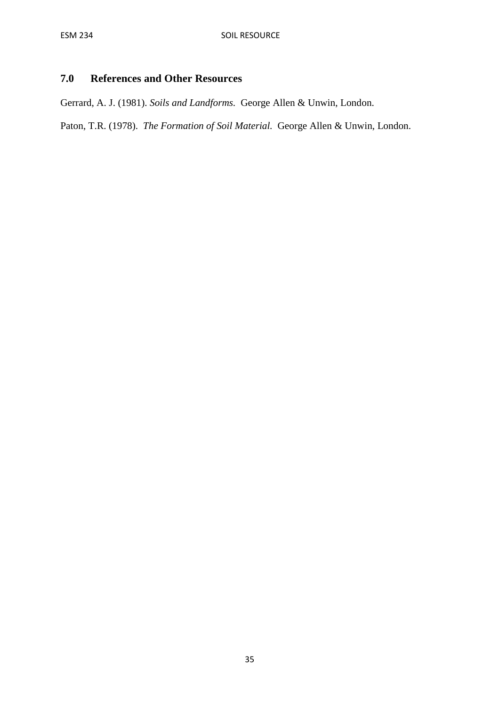# **7.0 References and Other Resources**

Gerrard, A. J. (1981). *Soils and Landforms.* George Allen & Unwin, London.

Paton, T.R. (1978). *The Formation of Soil Material.* George Allen & Unwin, London.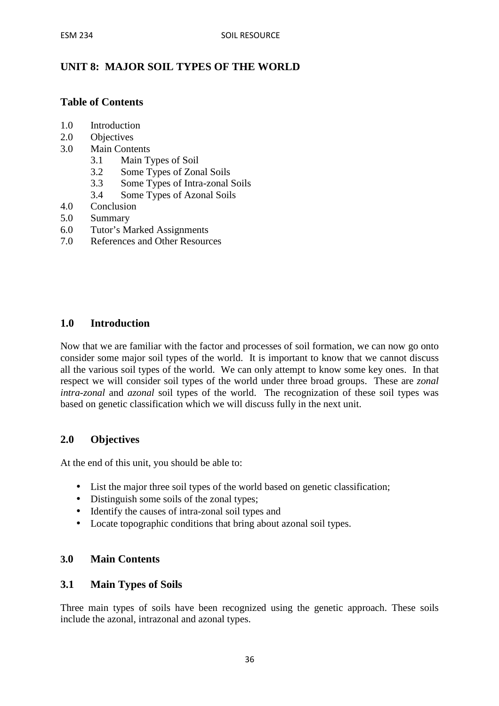# **UNIT 8: MAJOR SOIL TYPES OF THE WORLD**

### **Table of Contents**

- 1.0 Introduction
- 2.0 Objectives
- 3.0 Main Contents
	- 3.1 Main Types of Soil
	- 3.2 Some Types of Zonal Soils
	- 3.3 Some Types of Intra-zonal Soils
	- 3.4 Some Types of Azonal Soils
- 4.0 Conclusion
- 5.0 Summary
- 6.0 Tutor's Marked Assignments
- 7.0 References and Other Resources

#### **1.0 Introduction**

Now that we are familiar with the factor and processes of soil formation, we can now go onto consider some major soil types of the world. It is important to know that we cannot discuss all the various soil types of the world. We can only attempt to know some key ones. In that respect we will consider soil types of the world under three broad groups. These are *zonal intra-zonal* and *azonal* soil types of the world. The recognization of these soil types was based on genetic classification which we will discuss fully in the next unit.

### **2.0 Objectives**

At the end of this unit, you should be able to:

- List the major three soil types of the world based on genetic classification;
- Distinguish some soils of the zonal types;
- Identify the causes of intra-zonal soil types and
- Locate topographic conditions that bring about azonal soil types.

#### **3.0 Main Contents**

#### **3.1 Main Types of Soils**

Three main types of soils have been recognized using the genetic approach. These soils include the azonal, intrazonal and azonal types.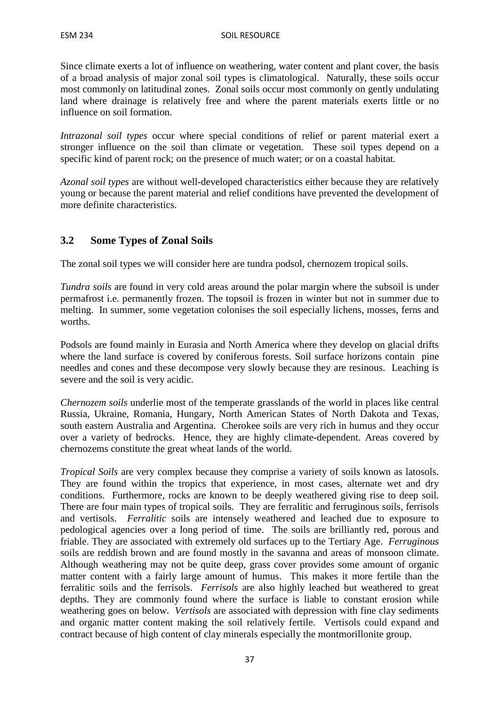Since climate exerts a lot of influence on weathering, water content and plant cover, the basis of a broad analysis of major zonal soil types is climatological. Naturally, these soils occur most commonly on latitudinal zones. Zonal soils occur most commonly on gently undulating land where drainage is relatively free and where the parent materials exerts little or no influence on soil formation.

*Intrazonal soil types* occur where special conditions of relief or parent material exert a stronger influence on the soil than climate or vegetation. These soil types depend on a specific kind of parent rock; on the presence of much water; or on a coastal habitat.

*Azonal soil types* are without well-developed characteristics either because they are relatively young or because the parent material and relief conditions have prevented the development of more definite characteristics.

# **3.2 Some Types of Zonal Soils**

The zonal soil types we will consider here are tundra podsol, chernozem tropical soils.

*Tundra soils* are found in very cold areas around the polar margin where the subsoil is under permafrost i.e. permanently frozen. The topsoil is frozen in winter but not in summer due to melting. In summer, some vegetation colonises the soil especially lichens, mosses, ferns and worths.

Podsols are found mainly in Eurasia and North America where they develop on glacial drifts where the land surface is covered by coniferous forests. Soil surface horizons contain pine needles and cones and these decompose very slowly because they are resinous. Leaching is severe and the soil is very acidic.

*Chernozem soils* underlie most of the temperate grasslands of the world in places like central Russia, Ukraine, Romania, Hungary, North American States of North Dakota and Texas, south eastern Australia and Argentina. Cherokee soils are very rich in humus and they occur over a variety of bedrocks. Hence, they are highly climate-dependent. Areas covered by chernozems constitute the great wheat lands of the world.

*Tropical Soils* are very complex because they comprise a variety of soils known as latosols. They are found within the tropics that experience, in most cases, alternate wet and dry conditions. Furthermore, rocks are known to be deeply weathered giving rise to deep soil. There are four main types of tropical soils. They are ferralitic and ferruginous soils, ferrisols and vertisols. *Ferralitic* soils are intensely weathered and leached due to exposure to pedological agencies over a long period of time. The soils are brilliantly red, porous and friable. They are associated with extremely old surfaces up to the Tertiary Age. *Ferruginous* soils are reddish brown and are found mostly in the savanna and areas of monsoon climate. Although weathering may not be quite deep, grass cover provides some amount of organic matter content with a fairly large amount of humus. This makes it more fertile than the ferralitic soils and the ferrisols. *Ferrisols* are also highly leached but weathered to great depths. They are commonly found where the surface is liable to constant erosion while weathering goes on below. *Vertisols* are associated with depression with fine clay sediments and organic matter content making the soil relatively fertile. Vertisols could expand and contract because of high content of clay minerals especially the montmorillonite group.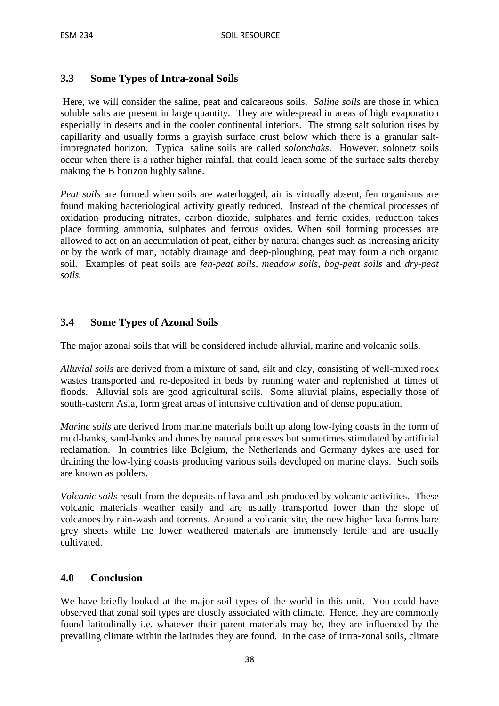# **3.3 Some Types of Intra-zonal Soils**

 Here, we will consider the saline, peat and calcareous soils. *Saline soils* are those in which soluble salts are present in large quantity. They are widespread in areas of high evaporation especially in deserts and in the cooler continental interiors. The strong salt solution rises by capillarity and usually forms a grayish surface crust below which there is a granular saltimpregnated horizon. Typical saline soils are called *solonchaks*. However, solonetz soils occur when there is a rather higher rainfall that could leach some of the surface salts thereby making the B horizon highly saline.

*Peat soils* are formed when soils are waterlogged, air is virtually absent, fen organisms are found making bacteriological activity greatly reduced. Instead of the chemical processes of oxidation producing nitrates, carbon dioxide, sulphates and ferric oxides, reduction takes place forming ammonia, sulphates and ferrous oxides. When soil forming processes are allowed to act on an accumulation of peat, either by natural changes such as increasing aridity or by the work of man, notably drainage and deep-ploughing, peat may form a rich organic soil. Examples of peat soils are *fen-peat soils, meadow soils, bog-peat soils* and *dry-peat soils.* 

# **3.4 Some Types of Azonal Soils**

The major azonal soils that will be considered include alluvial, marine and volcanic soils.

*Alluvial soils* are derived from a mixture of sand, silt and clay, consisting of well-mixed rock wastes transported and re-deposited in beds by running water and replenished at times of floods. Alluvial sols are good agricultural soils. Some alluvial plains, especially those of south-eastern Asia, form great areas of intensive cultivation and of dense population.

*Marine soils* are derived from marine materials built up along low-lying coasts in the form of mud-banks, sand-banks and dunes by natural processes but sometimes stimulated by artificial reclamation. In countries like Belgium, the Netherlands and Germany dykes are used for draining the low-lying coasts producing various soils developed on marine clays. Such soils are known as polders.

*Volcanic soils* result from the deposits of lava and ash produced by volcanic activities. These volcanic materials weather easily and are usually transported lower than the slope of volcanoes by rain-wash and torrents. Around a volcanic site, the new higher lava forms bare grey sheets while the lower weathered materials are immensely fertile and are usually cultivated.

#### **4.0 Conclusion**

We have briefly looked at the major soil types of the world in this unit. You could have observed that zonal soil types are closely associated with climate. Hence, they are commonly found latitudinally i.e. whatever their parent materials may be, they are influenced by the prevailing climate within the latitudes they are found. In the case of intra-zonal soils, climate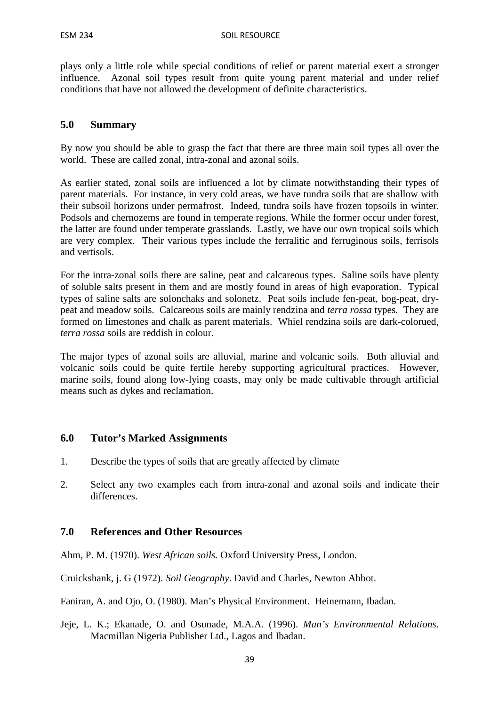plays only a little role while special conditions of relief or parent material exert a stronger influence. Azonal soil types result from quite young parent material and under relief conditions that have not allowed the development of definite characteristics.

#### **5.0 Summary**

By now you should be able to grasp the fact that there are three main soil types all over the world. These are called zonal, intra-zonal and azonal soils.

As earlier stated, zonal soils are influenced a lot by climate notwithstanding their types of parent materials. For instance, in very cold areas, we have tundra soils that are shallow with their subsoil horizons under permafrost. Indeed, tundra soils have frozen topsoils in winter. Podsols and chernozems are found in temperate regions. While the former occur under forest, the latter are found under temperate grasslands. Lastly, we have our own tropical soils which are very complex. Their various types include the ferralitic and ferruginous soils, ferrisols and vertisols.

For the intra-zonal soils there are saline, peat and calcareous types. Saline soils have plenty of soluble salts present in them and are mostly found in areas of high evaporation. Typical types of saline salts are solonchaks and solonetz. Peat soils include fen-peat, bog-peat, drypeat and meadow soils. Calcareous soils are mainly rendzina and *terra rossa* types*.* They are formed on limestones and chalk as parent materials. Whiel rendzina soils are dark-colorued, *terra rossa* soils are reddish in colour.

The major types of azonal soils are alluvial, marine and volcanic soils. Both alluvial and volcanic soils could be quite fertile hereby supporting agricultural practices. However, marine soils, found along low-lying coasts, may only be made cultivable through artificial means such as dykes and reclamation.

#### **6.0 Tutor's Marked Assignments**

- 1. Describe the types of soils that are greatly affected by climate
- 2. Select any two examples each from intra-zonal and azonal soils and indicate their differences.

#### **7.0 References and Other Resources**

Ahm, P. M. (1970). *West African soils.* Oxford University Press, London.

Cruickshank, j. G (1972). *Soil Geography*. David and Charles, Newton Abbot.

Faniran, A. and Ojo, O. (1980). Man's Physical Environment. Heinemann, Ibadan.

Jeje, L. K.; Ekanade, O. and Osunade, M.A.A. (1996). *Man's Environmental Relations*. Macmillan Nigeria Publisher Ltd., Lagos and Ibadan.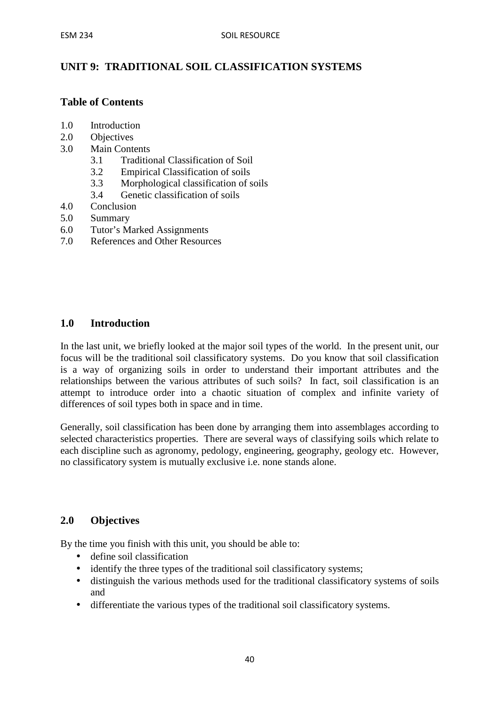# **UNIT 9: TRADITIONAL SOIL CLASSIFICATION SYSTEMS**

#### **Table of Contents**

- 1.0 Introduction
- 2.0 Objectives
- 3.0 Main Contents
	- 3.1 Traditional Classification of Soil
	- 3.2 Empirical Classification of soils
	- 3.3 Morphological classification of soils
	- 3.4 Genetic classification of soils
- 4.0 Conclusion
- 5.0 Summary
- 6.0 Tutor's Marked Assignments
- 7.0 References and Other Resources

#### **1.0 Introduction**

In the last unit, we briefly looked at the major soil types of the world. In the present unit, our focus will be the traditional soil classificatory systems. Do you know that soil classification is a way of organizing soils in order to understand their important attributes and the relationships between the various attributes of such soils? In fact, soil classification is an attempt to introduce order into a chaotic situation of complex and infinite variety of differences of soil types both in space and in time.

Generally, soil classification has been done by arranging them into assemblages according to selected characteristics properties. There are several ways of classifying soils which relate to each discipline such as agronomy, pedology, engineering, geography, geology etc. However, no classificatory system is mutually exclusive i.e. none stands alone.

#### **2.0 Objectives**

By the time you finish with this unit, you should be able to:

- define soil classification
- identify the three types of the traditional soil classificatory systems;
- distinguish the various methods used for the traditional classificatory systems of soils and
- differentiate the various types of the traditional soil classificatory systems.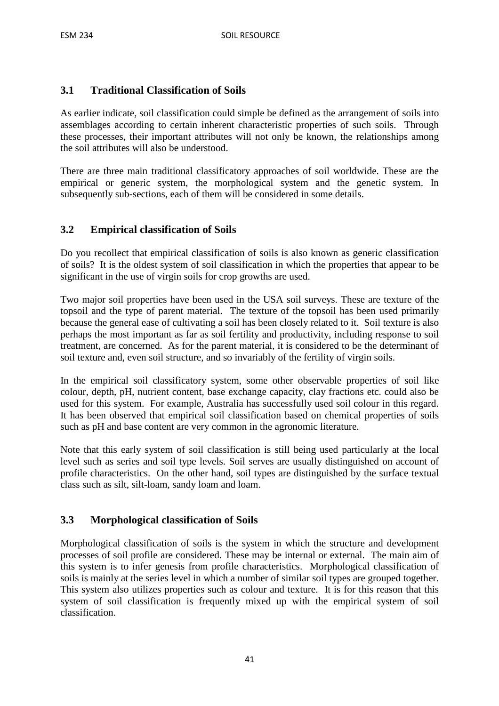# **3.1 Traditional Classification of Soils**

As earlier indicate, soil classification could simple be defined as the arrangement of soils into assemblages according to certain inherent characteristic properties of such soils. Through these processes, their important attributes will not only be known, the relationships among the soil attributes will also be understood.

There are three main traditional classificatory approaches of soil worldwide. These are the empirical or generic system, the morphological system and the genetic system. In subsequently sub-sections, each of them will be considered in some details.

# **3.2 Empirical classification of Soils**

Do you recollect that empirical classification of soils is also known as generic classification of soils? It is the oldest system of soil classification in which the properties that appear to be significant in the use of virgin soils for crop growths are used.

Two major soil properties have been used in the USA soil surveys. These are texture of the topsoil and the type of parent material. The texture of the topsoil has been used primarily because the general ease of cultivating a soil has been closely related to it. Soil texture is also perhaps the most important as far as soil fertility and productivity, including response to soil treatment, are concerned. As for the parent material, it is considered to be the determinant of soil texture and, even soil structure, and so invariably of the fertility of virgin soils.

In the empirical soil classificatory system, some other observable properties of soil like colour, depth, pH, nutrient content, base exchange capacity, clay fractions etc. could also be used for this system. For example, Australia has successfully used soil colour in this regard. It has been observed that empirical soil classification based on chemical properties of soils such as pH and base content are very common in the agronomic literature.

Note that this early system of soil classification is still being used particularly at the local level such as series and soil type levels. Soil serves are usually distinguished on account of profile characteristics. On the other hand, soil types are distinguished by the surface textual class such as silt, silt-loam, sandy loam and loam.

# **3.3 Morphological classification of Soils**

Morphological classification of soils is the system in which the structure and development processes of soil profile are considered. These may be internal or external. The main aim of this system is to infer genesis from profile characteristics. Morphological classification of soils is mainly at the series level in which a number of similar soil types are grouped together. This system also utilizes properties such as colour and texture. It is for this reason that this system of soil classification is frequently mixed up with the empirical system of soil classification.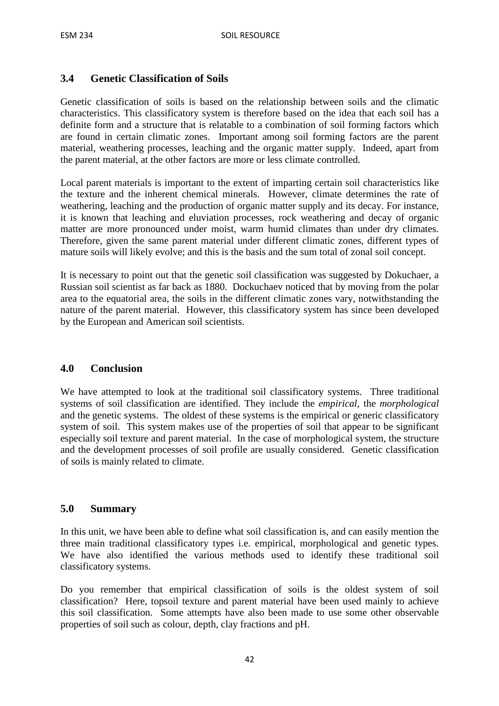# **3.4 Genetic Classification of Soils**

Genetic classification of soils is based on the relationship between soils and the climatic characteristics. This classificatory system is therefore based on the idea that each soil has a definite form and a structure that is relatable to a combination of soil forming factors which are found in certain climatic zones. Important among soil forming factors are the parent material, weathering processes, leaching and the organic matter supply. Indeed, apart from the parent material, at the other factors are more or less climate controlled.

Local parent materials is important to the extent of imparting certain soil characteristics like the texture and the inherent chemical minerals. However, climate determines the rate of weathering, leaching and the production of organic matter supply and its decay. For instance, it is known that leaching and eluviation processes, rock weathering and decay of organic matter are more pronounced under moist, warm humid climates than under dry climates. Therefore, given the same parent material under different climatic zones, different types of mature soils will likely evolve; and this is the basis and the sum total of zonal soil concept.

It is necessary to point out that the genetic soil classification was suggested by Dokuchaer, a Russian soil scientist as far back as 1880. Dockuchaev noticed that by moving from the polar area to the equatorial area, the soils in the different climatic zones vary, notwithstanding the nature of the parent material. However, this classificatory system has since been developed by the European and American soil scientists.

# **4.0 Conclusion**

We have attempted to look at the traditional soil classificatory systems. Three traditional systems of soil classification are identified. They include the *empirical,* the *morphological* and the genetic systems. The oldest of these systems is the empirical or generic classificatory system of soil. This system makes use of the properties of soil that appear to be significant especially soil texture and parent material. In the case of morphological system, the structure and the development processes of soil profile are usually considered. Genetic classification of soils is mainly related to climate.

### **5.0 Summary**

In this unit, we have been able to define what soil classification is, and can easily mention the three main traditional classificatory types i.e. empirical, morphological and genetic types. We have also identified the various methods used to identify these traditional soil classificatory systems.

Do you remember that empirical classification of soils is the oldest system of soil classification? Here, topsoil texture and parent material have been used mainly to achieve this soil classification. Some attempts have also been made to use some other observable properties of soil such as colour, depth, clay fractions and pH.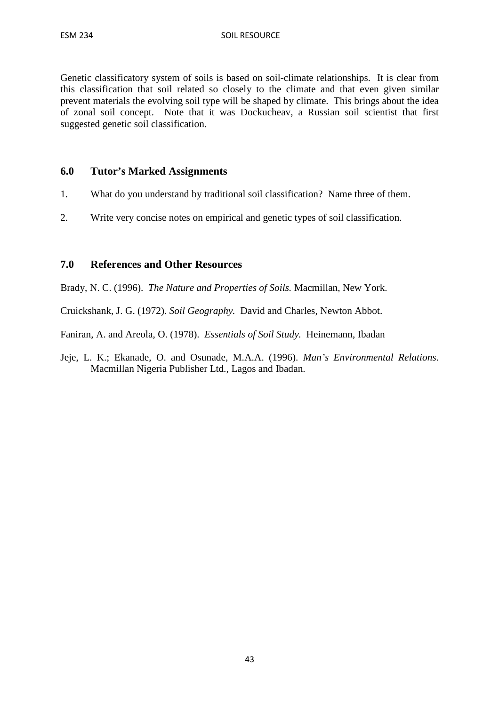Genetic classificatory system of soils is based on soil-climate relationships. It is clear from this classification that soil related so closely to the climate and that even given similar prevent materials the evolving soil type will be shaped by climate. This brings about the idea of zonal soil concept. Note that it was Dockucheav, a Russian soil scientist that first suggested genetic soil classification.

#### **6.0 Tutor's Marked Assignments**

- 1. What do you understand by traditional soil classification? Name three of them.
- 2. Write very concise notes on empirical and genetic types of soil classification.

#### **7.0 References and Other Resources**

Brady, N. C. (1996). *The Nature and Properties of Soils.* Macmillan, New York.

Cruickshank, J. G. (1972). *Soil Geography.* David and Charles, Newton Abbot.

Faniran, A. and Areola, O. (1978). *Essentials of Soil Study.* Heinemann, Ibadan

Jeje, L. K.; Ekanade, O. and Osunade, M.A.A. (1996). *Man's Environmental Relations*. Macmillan Nigeria Publisher Ltd., Lagos and Ibadan.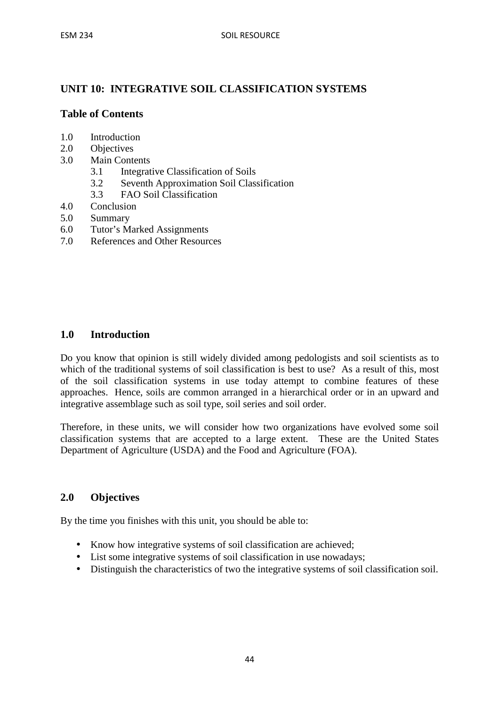# **UNIT 10: INTEGRATIVE SOIL CLASSIFICATION SYSTEMS**

### **Table of Contents**

- 1.0 Introduction
- 2.0 Objectives
- 3.0 Main Contents
	- 3.1 Integrative Classification of Soils
	- 3.2 Seventh Approximation Soil Classification
	- 3.3 FAO Soil Classification
- 4.0 Conclusion
- 5.0 Summary
- 6.0 Tutor's Marked Assignments
- 7.0 References and Other Resources

#### **1.0 Introduction**

Do you know that opinion is still widely divided among pedologists and soil scientists as to which of the traditional systems of soil classification is best to use? As a result of this, most of the soil classification systems in use today attempt to combine features of these approaches. Hence, soils are common arranged in a hierarchical order or in an upward and integrative assemblage such as soil type, soil series and soil order.

Therefore, in these units, we will consider how two organizations have evolved some soil classification systems that are accepted to a large extent. These are the United States Department of Agriculture (USDA) and the Food and Agriculture (FOA).

#### **2.0 Objectives**

By the time you finishes with this unit, you should be able to:

- Know how integrative systems of soil classification are achieved;
- List some integrative systems of soil classification in use nowadays;
- Distinguish the characteristics of two the integrative systems of soil classification soil.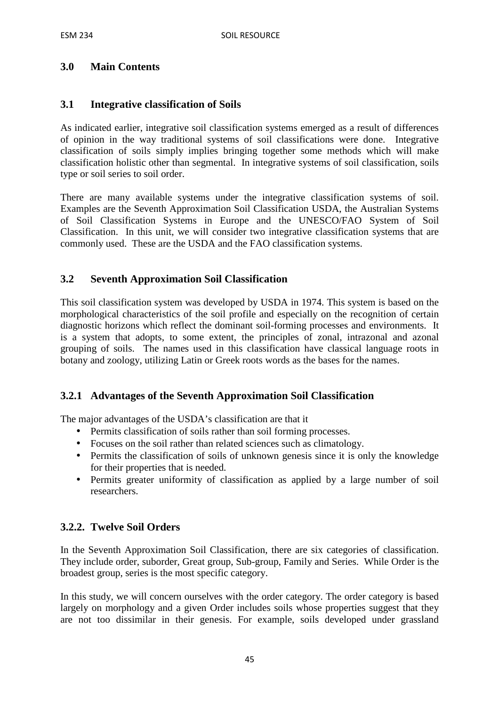# **3.0 Main Contents**

#### **3.1 Integrative classification of Soils**

As indicated earlier, integrative soil classification systems emerged as a result of differences of opinion in the way traditional systems of soil classifications were done. Integrative classification of soils simply implies bringing together some methods which will make classification holistic other than segmental. In integrative systems of soil classification, soils type or soil series to soil order.

There are many available systems under the integrative classification systems of soil. Examples are the Seventh Approximation Soil Classification USDA, the Australian Systems of Soil Classification Systems in Europe and the UNESCO/FAO System of Soil Classification. In this unit, we will consider two integrative classification systems that are commonly used. These are the USDA and the FAO classification systems.

#### **3.2 Seventh Approximation Soil Classification**

This soil classification system was developed by USDA in 1974. This system is based on the morphological characteristics of the soil profile and especially on the recognition of certain diagnostic horizons which reflect the dominant soil-forming processes and environments. It is a system that adopts, to some extent, the principles of zonal, intrazonal and azonal grouping of soils. The names used in this classification have classical language roots in botany and zoology, utilizing Latin or Greek roots words as the bases for the names.

#### **3.2.1 Advantages of the Seventh Approximation Soil Classification**

The major advantages of the USDA's classification are that it

- Permits classification of soils rather than soil forming processes.
- Focuses on the soil rather than related sciences such as climatology.
- Permits the classification of soils of unknown genesis since it is only the knowledge for their properties that is needed.
- Permits greater uniformity of classification as applied by a large number of soil researchers.

#### **3.2.2. Twelve Soil Orders**

In the Seventh Approximation Soil Classification, there are six categories of classification. They include order, suborder, Great group, Sub-group, Family and Series. While Order is the broadest group, series is the most specific category.

In this study, we will concern ourselves with the order category. The order category is based largely on morphology and a given Order includes soils whose properties suggest that they are not too dissimilar in their genesis. For example, soils developed under grassland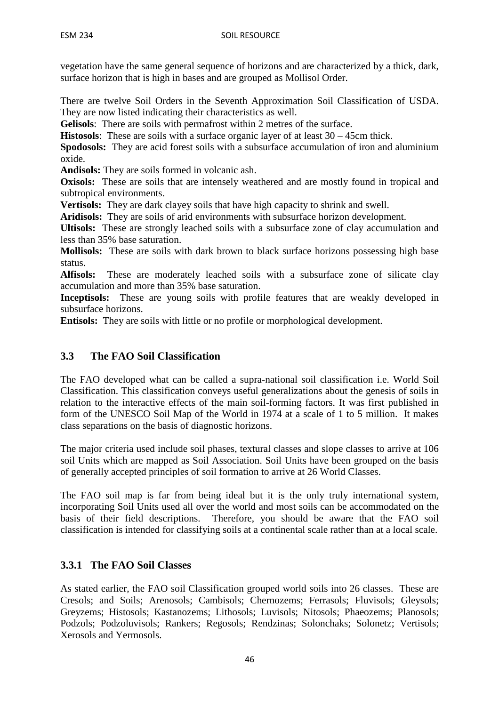vegetation have the same general sequence of horizons and are characterized by a thick, dark, surface horizon that is high in bases and are grouped as Mollisol Order.

There are twelve Soil Orders in the Seventh Approximation Soil Classification of USDA. They are now listed indicating their characteristics as well.

**Gelisols**: There are soils with permafrost within 2 metres of the surface.

**Histosols**: These are soils with a surface organic layer of at least 30 – 45cm thick.

**Spodosols:** They are acid forest soils with a subsurface accumulation of iron and aluminium oxide.

**Andisols:** They are soils formed in volcanic ash.

**Oxisols:** These are soils that are intensely weathered and are mostly found in tropical and subtropical environments.

**Vertisols:** They are dark clayey soils that have high capacity to shrink and swell.

**Aridisols:** They are soils of arid environments with subsurface horizon development.

**Ultisols:** These are strongly leached soils with a subsurface zone of clay accumulation and less than 35% base saturation.

**Mollisols:** These are soils with dark brown to black surface horizons possessing high base status.

**Alfisols:** These are moderately leached soils with a subsurface zone of silicate clay accumulation and more than 35% base saturation.

**Inceptisols:** These are young soils with profile features that are weakly developed in subsurface horizons.

**Entisols:** They are soils with little or no profile or morphological development.

# **3.3 The FAO Soil Classification**

The FAO developed what can be called a supra-national soil classification i.e. World Soil Classification. This classification conveys useful generalizations about the genesis of soils in relation to the interactive effects of the main soil-forming factors. It was first published in form of the UNESCO Soil Map of the World in 1974 at a scale of 1 to 5 million. It makes class separations on the basis of diagnostic horizons.

The major criteria used include soil phases, textural classes and slope classes to arrive at 106 soil Units which are mapped as Soil Association. Soil Units have been grouped on the basis of generally accepted principles of soil formation to arrive at 26 World Classes.

The FAO soil map is far from being ideal but it is the only truly international system, incorporating Soil Units used all over the world and most soils can be accommodated on the basis of their field descriptions. Therefore, you should be aware that the FAO soil classification is intended for classifying soils at a continental scale rather than at a local scale.

# **3.3.1 The FAO Soil Classes**

As stated earlier, the FAO soil Classification grouped world soils into 26 classes. These are Cresols; and Soils; Arenosols; Cambisols; Chernozems; Ferrasols; Fluvisols; Gleysols; Greyzems; Histosols; Kastanozems; Lithosols; Luvisols; Nitosols; Phaeozems; Planosols; Podzols; Podzoluvisols; Rankers; Regosols; Rendzinas; Solonchaks; Solonetz; Vertisols; Xerosols and Yermosols.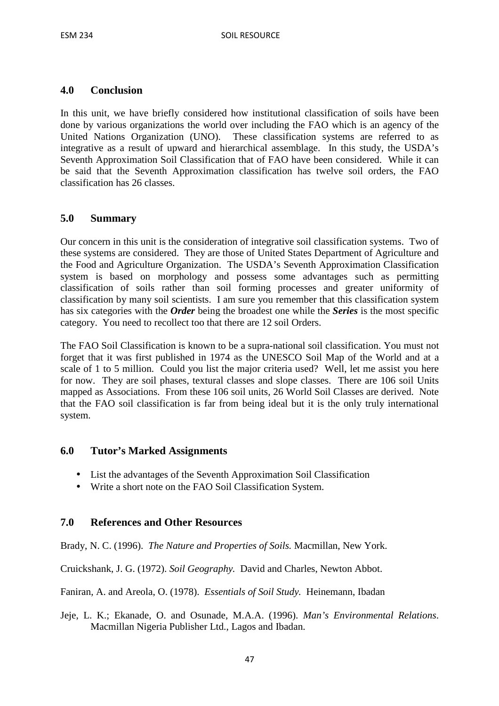#### **4.0 Conclusion**

In this unit, we have briefly considered how institutional classification of soils have been done by various organizations the world over including the FAO which is an agency of the United Nations Organization (UNO). These classification systems are referred to as integrative as a result of upward and hierarchical assemblage. In this study, the USDA's Seventh Approximation Soil Classification that of FAO have been considered. While it can be said that the Seventh Approximation classification has twelve soil orders, the FAO classification has 26 classes.

### **5.0 Summary**

Our concern in this unit is the consideration of integrative soil classification systems. Two of these systems are considered. They are those of United States Department of Agriculture and the Food and Agriculture Organization. The USDA's Seventh Approximation Classification system is based on morphology and possess some advantages such as permitting classification of soils rather than soil forming processes and greater uniformity of classification by many soil scientists. I am sure you remember that this classification system has six categories with the *Order* being the broadest one while the *Series* is the most specific category. You need to recollect too that there are 12 soil Orders.

The FAO Soil Classification is known to be a supra-national soil classification. You must not forget that it was first published in 1974 as the UNESCO Soil Map of the World and at a scale of 1 to 5 million. Could you list the major criteria used? Well, let me assist you here for now. They are soil phases, textural classes and slope classes. There are 106 soil Units mapped as Associations. From these 106 soil units, 26 World Soil Classes are derived. Note that the FAO soil classification is far from being ideal but it is the only truly international system.

#### **6.0 Tutor's Marked Assignments**

- List the advantages of the Seventh Approximation Soil Classification
- Write a short note on the FAO Soil Classification System.

#### **7.0 References and Other Resources**

Brady, N. C. (1996). *The Nature and Properties of Soils.* Macmillan, New York.

Cruickshank, J. G. (1972). *Soil Geography.* David and Charles, Newton Abbot.

Faniran, A. and Areola, O. (1978). *Essentials of Soil Study.* Heinemann, Ibadan

Jeje, L. K.; Ekanade, O. and Osunade, M.A.A. (1996). *Man's Environmental Relations*. Macmillan Nigeria Publisher Ltd., Lagos and Ibadan.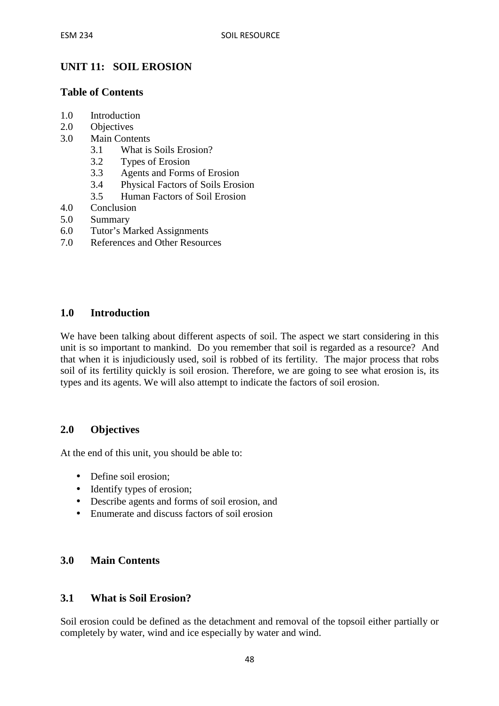# **UNIT 11: SOIL EROSION**

#### **Table of Contents**

- 1.0 Introduction
- 2.0 Objectives
- 3.0 Main Contents
	- 3.1 What is Soils Erosion?
	- 3.2 Types of Erosion
	- 3.3 Agents and Forms of Erosion
	- 3.4 Physical Factors of Soils Erosion
	- 3.5 Human Factors of Soil Erosion
- 4.0 Conclusion
- 5.0 Summary
- 6.0 Tutor's Marked Assignments
- 7.0 References and Other Resources

#### **1.0 Introduction**

We have been talking about different aspects of soil. The aspect we start considering in this unit is so important to mankind. Do you remember that soil is regarded as a resource? And that when it is injudiciously used, soil is robbed of its fertility. The major process that robs soil of its fertility quickly is soil erosion. Therefore, we are going to see what erosion is, its types and its agents. We will also attempt to indicate the factors of soil erosion.

#### **2.0 Objectives**

At the end of this unit, you should be able to:

- Define soil erosion:
- Identify types of erosion;
- Describe agents and forms of soil erosion, and
- Enumerate and discuss factors of soil erosion

#### **3.0 Main Contents**

#### **3.1 What is Soil Erosion?**

Soil erosion could be defined as the detachment and removal of the topsoil either partially or completely by water, wind and ice especially by water and wind.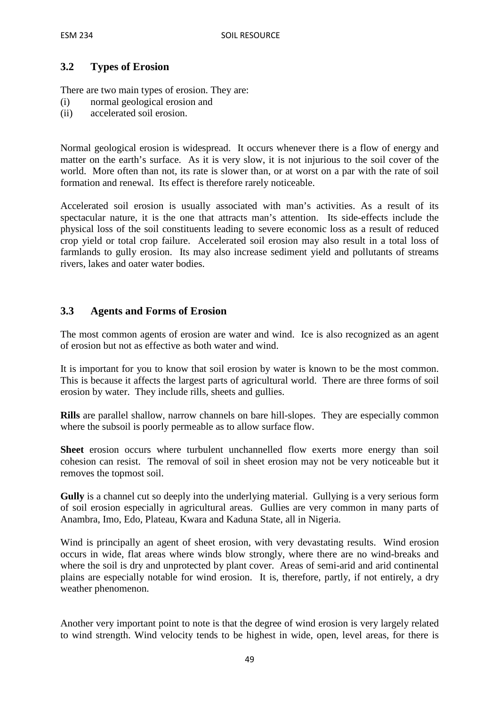# **3.2 Types of Erosion**

There are two main types of erosion. They are:

- (i) normal geological erosion and
- (ii) accelerated soil erosion.

Normal geological erosion is widespread. It occurs whenever there is a flow of energy and matter on the earth's surface. As it is very slow, it is not injurious to the soil cover of the world. More often than not, its rate is slower than, or at worst on a par with the rate of soil formation and renewal. Its effect is therefore rarely noticeable.

Accelerated soil erosion is usually associated with man's activities. As a result of its spectacular nature, it is the one that attracts man's attention. Its side-effects include the physical loss of the soil constituents leading to severe economic loss as a result of reduced crop yield or total crop failure. Accelerated soil erosion may also result in a total loss of farmlands to gully erosion. Its may also increase sediment yield and pollutants of streams rivers, lakes and oater water bodies.

### **3.3 Agents and Forms of Erosion**

The most common agents of erosion are water and wind. Ice is also recognized as an agent of erosion but not as effective as both water and wind.

It is important for you to know that soil erosion by water is known to be the most common. This is because it affects the largest parts of agricultural world. There are three forms of soil erosion by water. They include rills, sheets and gullies.

**Rills** are parallel shallow, narrow channels on bare hill-slopes. They are especially common where the subsoil is poorly permeable as to allow surface flow.

**Sheet** erosion occurs where turbulent unchannelled flow exerts more energy than soil cohesion can resist. The removal of soil in sheet erosion may not be very noticeable but it removes the topmost soil.

**Gully** is a channel cut so deeply into the underlying material. Gullying is a very serious form of soil erosion especially in agricultural areas. Gullies are very common in many parts of Anambra, Imo, Edo, Plateau, Kwara and Kaduna State, all in Nigeria.

Wind is principally an agent of sheet erosion, with very devastating results. Wind erosion occurs in wide, flat areas where winds blow strongly, where there are no wind-breaks and where the soil is dry and unprotected by plant cover. Areas of semi-arid and arid continental plains are especially notable for wind erosion. It is, therefore, partly, if not entirely, a dry weather phenomenon.

Another very important point to note is that the degree of wind erosion is very largely related to wind strength. Wind velocity tends to be highest in wide, open, level areas, for there is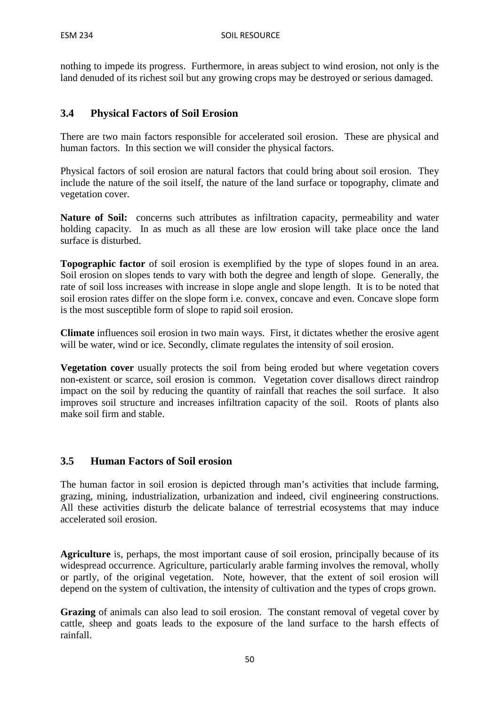nothing to impede its progress. Furthermore, in areas subject to wind erosion, not only is the land denuded of its richest soil but any growing crops may be destroyed or serious damaged.

# **3.4 Physical Factors of Soil Erosion**

There are two main factors responsible for accelerated soil erosion. These are physical and human factors. In this section we will consider the physical factors.

Physical factors of soil erosion are natural factors that could bring about soil erosion. They include the nature of the soil itself, the nature of the land surface or topography, climate and vegetation cover.

Nature of Soil: concerns such attributes as infiltration capacity, permeability and water holding capacity. In as much as all these are low erosion will take place once the land surface is disturbed.

**Topographic factor** of soil erosion is exemplified by the type of slopes found in an area. Soil erosion on slopes tends to vary with both the degree and length of slope. Generally, the rate of soil loss increases with increase in slope angle and slope length. It is to be noted that soil erosion rates differ on the slope form i.e. convex, concave and even. Concave slope form is the most susceptible form of slope to rapid soil erosion.

**Climate** influences soil erosion in two main ways. First, it dictates whether the erosive agent will be water, wind or ice. Secondly, climate regulates the intensity of soil erosion.

**Vegetation cover** usually protects the soil from being eroded but where vegetation covers non-existent or scarce, soil erosion is common. Vegetation cover disallows direct raindrop impact on the soil by reducing the quantity of rainfall that reaches the soil surface. It also improves soil structure and increases infiltration capacity of the soil. Roots of plants also make soil firm and stable.

# **3.5 Human Factors of Soil erosion**

The human factor in soil erosion is depicted through man's activities that include farming, grazing, mining, industrialization, urbanization and indeed, civil engineering constructions. All these activities disturb the delicate balance of terrestrial ecosystems that may induce accelerated soil erosion.

**Agriculture** is, perhaps, the most important cause of soil erosion, principally because of its widespread occurrence. Agriculture, particularly arable farming involves the removal, wholly or partly, of the original vegetation. Note, however, that the extent of soil erosion will depend on the system of cultivation, the intensity of cultivation and the types of crops grown.

**Grazing** of animals can also lead to soil erosion. The constant removal of vegetal cover by cattle, sheep and goats leads to the exposure of the land surface to the harsh effects of rainfall.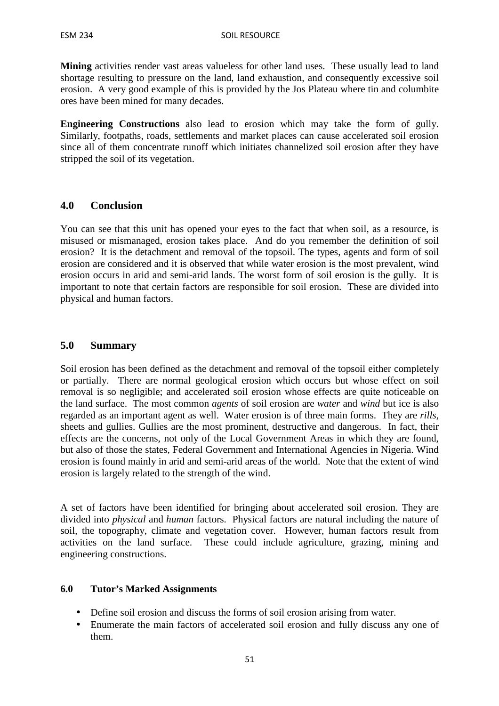**Mining** activities render vast areas valueless for other land uses. These usually lead to land shortage resulting to pressure on the land, land exhaustion, and consequently excessive soil erosion. A very good example of this is provided by the Jos Plateau where tin and columbite ores have been mined for many decades.

**Engineering Constructions** also lead to erosion which may take the form of gully. Similarly, footpaths, roads, settlements and market places can cause accelerated soil erosion since all of them concentrate runoff which initiates channelized soil erosion after they have stripped the soil of its vegetation.

#### **4.0 Conclusion**

You can see that this unit has opened your eyes to the fact that when soil, as a resource, is misused or mismanaged, erosion takes place. And do you remember the definition of soil erosion? It is the detachment and removal of the topsoil. The types, agents and form of soil erosion are considered and it is observed that while water erosion is the most prevalent, wind erosion occurs in arid and semi-arid lands. The worst form of soil erosion is the gully. It is important to note that certain factors are responsible for soil erosion. These are divided into physical and human factors.

#### **5.0 Summary**

Soil erosion has been defined as the detachment and removal of the topsoil either completely or partially. There are normal geological erosion which occurs but whose effect on soil removal is so negligible; and accelerated soil erosion whose effects are quite noticeable on the land surface. The most common *agents* of soil erosion are *water* and *wind* but ice is also regarded as an important agent as well. Water erosion is of three main forms. They are *rills*, sheets and gullies. Gullies are the most prominent, destructive and dangerous. In fact, their effects are the concerns, not only of the Local Government Areas in which they are found, but also of those the states, Federal Government and International Agencies in Nigeria. Wind erosion is found mainly in arid and semi-arid areas of the world. Note that the extent of wind erosion is largely related to the strength of the wind.

A set of factors have been identified for bringing about accelerated soil erosion. They are divided into *physical* and *human* factors. Physical factors are natural including the nature of soil, the topography, climate and vegetation cover. However, human factors result from activities on the land surface. These could include agriculture, grazing, mining and engineering constructions.

#### **6.0 Tutor's Marked Assignments**

- Define soil erosion and discuss the forms of soil erosion arising from water.
- Enumerate the main factors of accelerated soil erosion and fully discuss any one of them.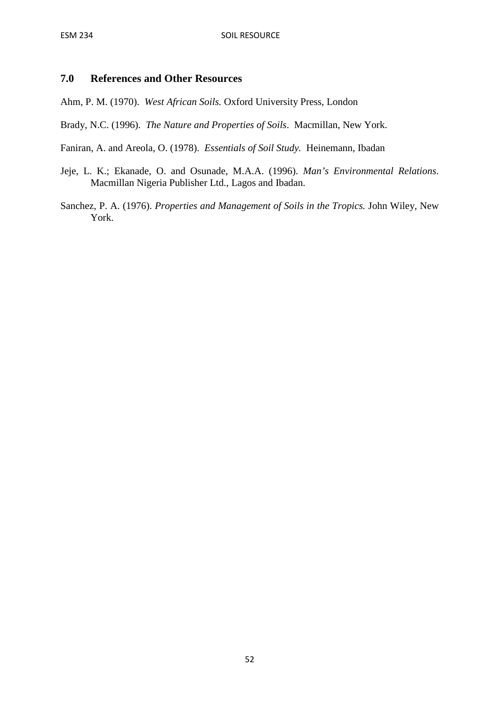### **7.0 References and Other Resources**

Ahm, P. M. (1970). *West African Soils.* Oxford University Press, London

Brady, N.C. (1996). *The Nature and Properties of Soils*. Macmillan, New York.

Faniran, A. and Areola, O. (1978). *Essentials of Soil Study.* Heinemann, Ibadan

- Jeje, L. K.; Ekanade, O. and Osunade, M.A.A. (1996). *Man's Environmental Relations*. Macmillan Nigeria Publisher Ltd., Lagos and Ibadan.
- Sanchez, P. A. (1976). *Properties and Management of Soils in the Tropics.* John Wiley, New York.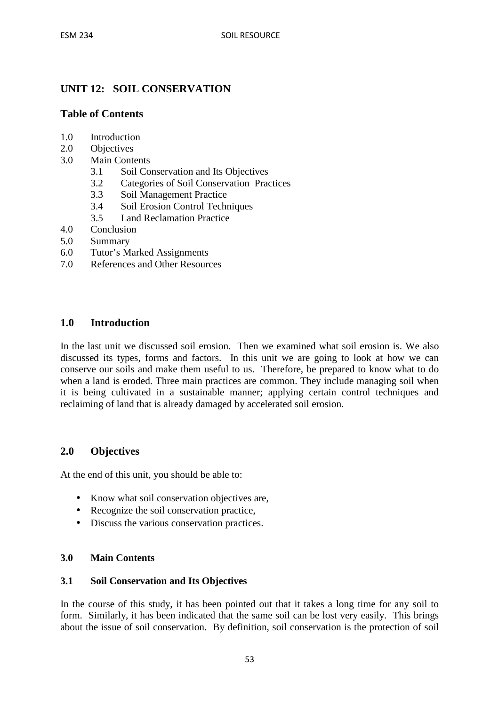# **UNIT 12: SOIL CONSERVATION**

#### **Table of Contents**

- 1.0 Introduction
- 2.0 Objectives
- 3.0 Main Contents
	- 3.1 Soil Conservation and Its Objectives
	- 3.2 Categories of Soil Conservation Practices
	- 3.3 Soil Management Practice
	- 3.4 Soil Erosion Control Techniques
	- 3.5 Land Reclamation Practice
- 4.0 Conclusion
- 5.0 Summary
- 6.0 Tutor's Marked Assignments
- 7.0 References and Other Resources

#### **1.0 Introduction**

In the last unit we discussed soil erosion. Then we examined what soil erosion is. We also discussed its types, forms and factors. In this unit we are going to look at how we can conserve our soils and make them useful to us. Therefore, be prepared to know what to do when a land is eroded. Three main practices are common. They include managing soil when it is being cultivated in a sustainable manner; applying certain control techniques and reclaiming of land that is already damaged by accelerated soil erosion.

#### **2.0 Objectives**

At the end of this unit, you should be able to:

- Know what soil conservation objectives are,
- Recognize the soil conservation practice,
- Discuss the various conservation practices.

#### **3.0 Main Contents**

#### **3.1 Soil Conservation and Its Objectives**

In the course of this study, it has been pointed out that it takes a long time for any soil to form. Similarly, it has been indicated that the same soil can be lost very easily. This brings about the issue of soil conservation. By definition, soil conservation is the protection of soil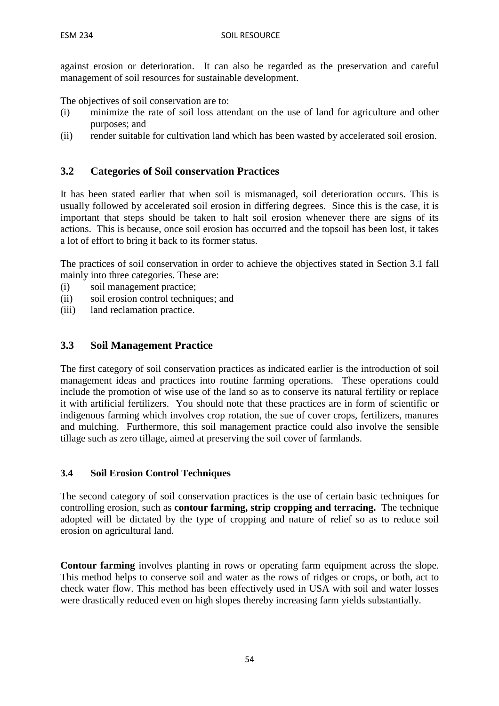against erosion or deterioration. It can also be regarded as the preservation and careful management of soil resources for sustainable development.

The objectives of soil conservation are to:

- (i) minimize the rate of soil loss attendant on the use of land for agriculture and other purposes; and
- (ii) render suitable for cultivation land which has been wasted by accelerated soil erosion.

# **3.2 Categories of Soil conservation Practices**

It has been stated earlier that when soil is mismanaged, soil deterioration occurs. This is usually followed by accelerated soil erosion in differing degrees. Since this is the case, it is important that steps should be taken to halt soil erosion whenever there are signs of its actions. This is because, once soil erosion has occurred and the topsoil has been lost, it takes a lot of effort to bring it back to its former status.

The practices of soil conservation in order to achieve the objectives stated in Section 3.1 fall mainly into three categories. These are:

- (i) soil management practice;
- (ii) soil erosion control techniques; and
- (iii) land reclamation practice.

### **3.3 Soil Management Practice**

The first category of soil conservation practices as indicated earlier is the introduction of soil management ideas and practices into routine farming operations. These operations could include the promotion of wise use of the land so as to conserve its natural fertility or replace it with artificial fertilizers. You should note that these practices are in form of scientific or indigenous farming which involves crop rotation, the sue of cover crops, fertilizers, manures and mulching. Furthermore, this soil management practice could also involve the sensible tillage such as zero tillage, aimed at preserving the soil cover of farmlands.

#### **3.4 Soil Erosion Control Techniques**

The second category of soil conservation practices is the use of certain basic techniques for controlling erosion, such as **contour farming, strip cropping and terracing.** The technique adopted will be dictated by the type of cropping and nature of relief so as to reduce soil erosion on agricultural land.

**Contour farming** involves planting in rows or operating farm equipment across the slope. This method helps to conserve soil and water as the rows of ridges or crops, or both, act to check water flow. This method has been effectively used in USA with soil and water losses were drastically reduced even on high slopes thereby increasing farm yields substantially.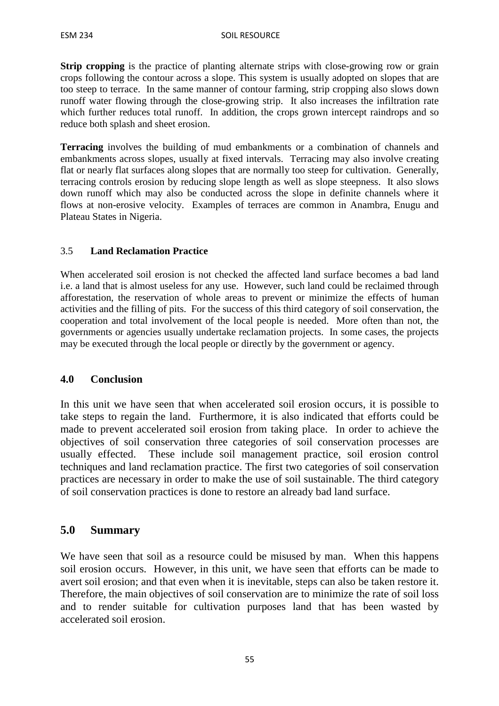**Strip cropping** is the practice of planting alternate strips with close-growing row or grain crops following the contour across a slope. This system is usually adopted on slopes that are too steep to terrace. In the same manner of contour farming, strip cropping also slows down runoff water flowing through the close-growing strip. It also increases the infiltration rate which further reduces total runoff. In addition, the crops grown intercept raindrops and so reduce both splash and sheet erosion.

**Terracing** involves the building of mud embankments or a combination of channels and embankments across slopes, usually at fixed intervals. Terracing may also involve creating flat or nearly flat surfaces along slopes that are normally too steep for cultivation. Generally, terracing controls erosion by reducing slope length as well as slope steepness. It also slows down runoff which may also be conducted across the slope in definite channels where it flows at non-erosive velocity. Examples of terraces are common in Anambra, Enugu and Plateau States in Nigeria.

### 3.5 **Land Reclamation Practice**

When accelerated soil erosion is not checked the affected land surface becomes a bad land i.e. a land that is almost useless for any use. However, such land could be reclaimed through afforestation, the reservation of whole areas to prevent or minimize the effects of human activities and the filling of pits. For the success of this third category of soil conservation, the cooperation and total involvement of the local people is needed. More often than not, the governments or agencies usually undertake reclamation projects. In some cases, the projects may be executed through the local people or directly by the government or agency.

#### **4.0 Conclusion**

In this unit we have seen that when accelerated soil erosion occurs, it is possible to take steps to regain the land. Furthermore, it is also indicated that efforts could be made to prevent accelerated soil erosion from taking place. In order to achieve the objectives of soil conservation three categories of soil conservation processes are usually effected. These include soil management practice, soil erosion control techniques and land reclamation practice. The first two categories of soil conservation practices are necessary in order to make the use of soil sustainable. The third category of soil conservation practices is done to restore an already bad land surface.

# **5.0 Summary**

We have seen that soil as a resource could be misused by man. When this happens soil erosion occurs. However, in this unit, we have seen that efforts can be made to avert soil erosion; and that even when it is inevitable, steps can also be taken restore it. Therefore, the main objectives of soil conservation are to minimize the rate of soil loss and to render suitable for cultivation purposes land that has been wasted by accelerated soil erosion.